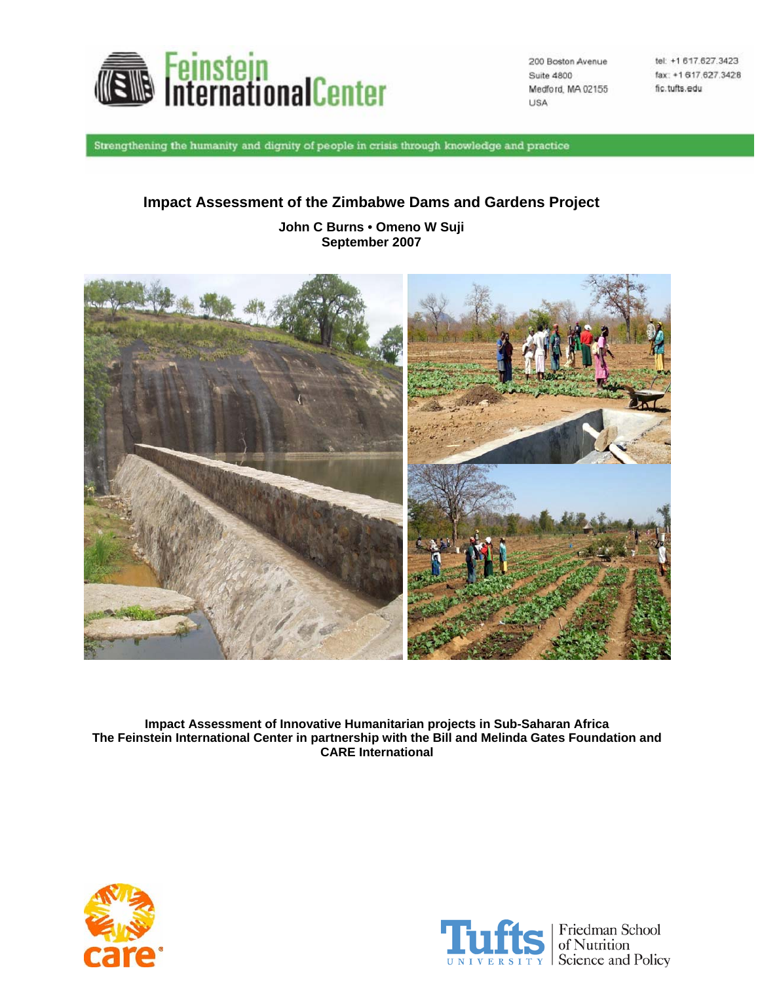

200 Boston Avenue Suite 4800 Medford, MA 02155 **USA** 

tel: +1 617.627.3423 fax: +1 617.627.3428 fic.tufts.edu

Strengthening the humanity and dignity of people in crisis through knowledge and practice

# **Impact Assessment of the Zimbabwe Dams and Gardens Project**

**John C Burns • Omeno W Suji September 2007** 



**Impact Assessment of Innovative Humanitarian projects in Sub-Saharan Africa The Feinstein International Center in partnership with the Bill and Melinda Gates Foundation and CARE International** 



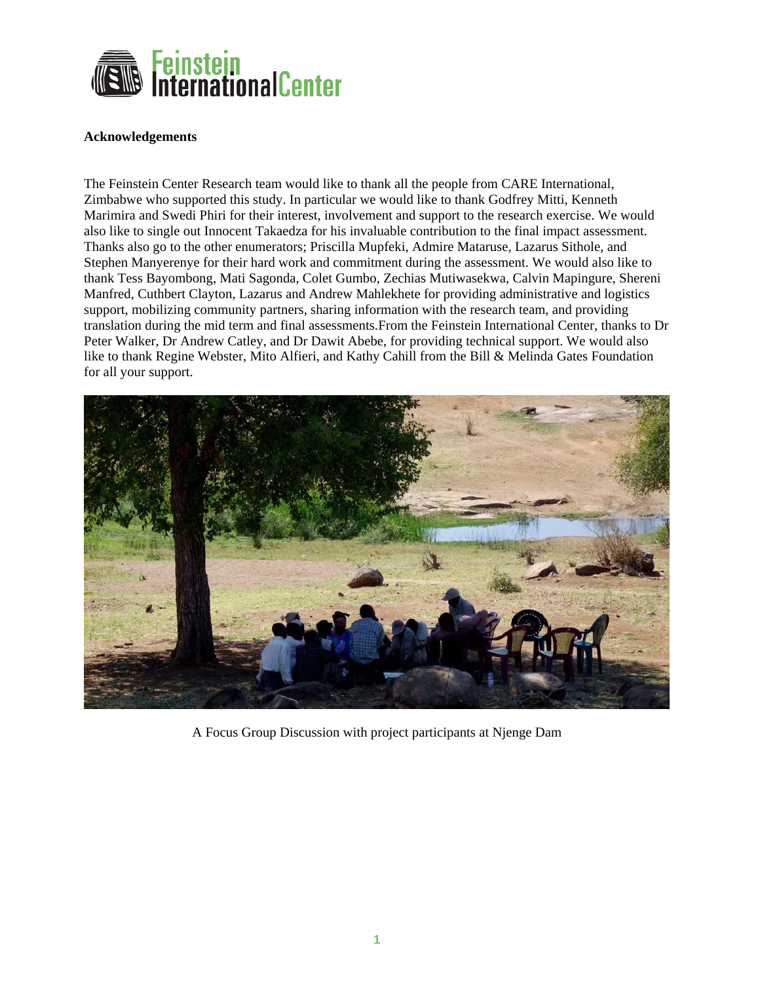

#### **Acknowledgements**

The Feinstein Center Research team would like to thank all the people from CARE International, Zimbabwe who supported this study. In particular we would like to thank Godfrey Mitti, Kenneth Marimira and Swedi Phiri for their interest, involvement and support to the research exercise. We would also like to single out Innocent Takaedza for his invaluable contribution to the final impact assessment. Thanks also go to the other enumerators; Priscilla Mupfeki, Admire Mataruse, Lazarus Sithole, and Stephen Manyerenye for their hard work and commitment during the assessment. We would also like to thank Tess Bayombong, Mati Sagonda, Colet Gumbo, Zechias Mutiwasekwa, Calvin Mapingure, Shereni Manfred, Cuthbert Clayton, Lazarus and Andrew Mahlekhete for providing administrative and logistics support, mobilizing community partners, sharing information with the research team, and providing translation during the mid term and final assessments.From the Feinstein International Center, thanks to Dr Peter Walker, Dr Andrew Catley, and Dr Dawit Abebe, for providing technical support. We would also like to thank Regine Webster, Mito Alfieri, and Kathy Cahill from the Bill & Melinda Gates Foundation for all your support.



A Focus Group Discussion with project participants at Njenge Dam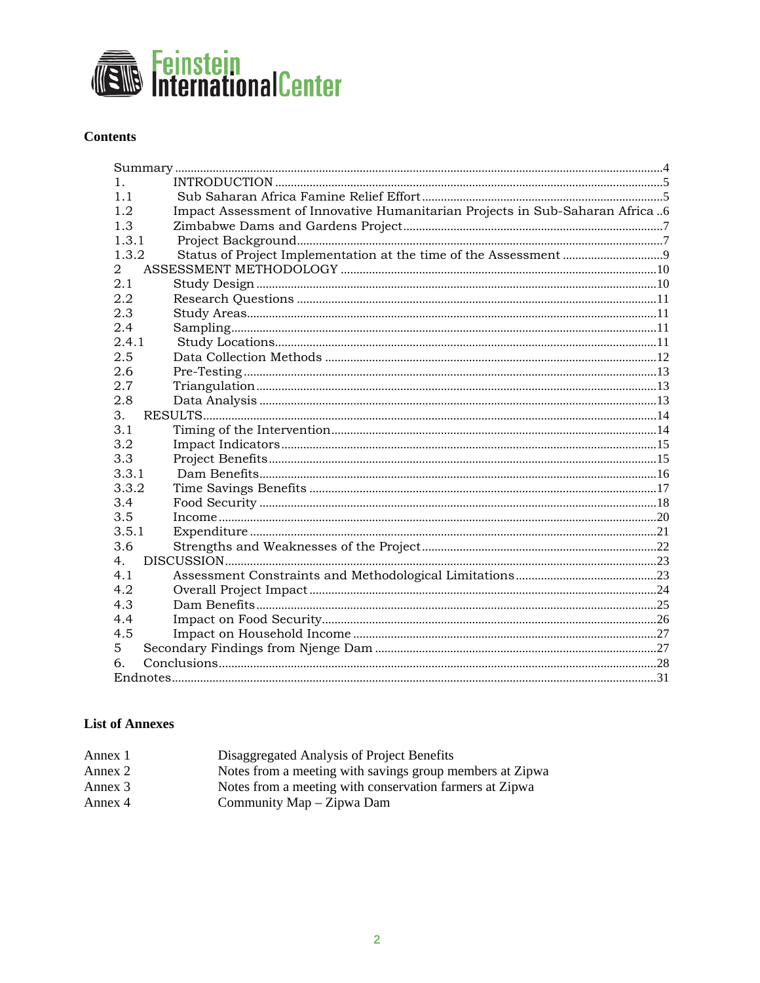

## **Contents**

| 1.             |                                                                              |  |
|----------------|------------------------------------------------------------------------------|--|
| 1 <sub>1</sub> |                                                                              |  |
| 1.2            | Impact Assessment of Innovative Humanitarian Projects in Sub-Saharan Africa6 |  |
| 1.3            |                                                                              |  |
| 1.3.1          |                                                                              |  |
| 1.3.2          |                                                                              |  |
| 2              |                                                                              |  |
| 2.1            |                                                                              |  |
| 2.2            |                                                                              |  |
| 2.3            |                                                                              |  |
| 2.4            |                                                                              |  |
| 2.4.1          |                                                                              |  |
| 2.5            |                                                                              |  |
| 2.6            |                                                                              |  |
| 2.7            |                                                                              |  |
| 2.8            |                                                                              |  |
| 3.             |                                                                              |  |
| 3.1            |                                                                              |  |
| 3.2            |                                                                              |  |
| 3.3            |                                                                              |  |
| 3.3.1          |                                                                              |  |
| 3.3.2          |                                                                              |  |
| 3.4            |                                                                              |  |
| 3.5            |                                                                              |  |
| 3.5.1          |                                                                              |  |
| 3.6            |                                                                              |  |
| 4 <sub>1</sub> |                                                                              |  |
| 4.1            |                                                                              |  |
| 4.2            |                                                                              |  |
| 4.3            |                                                                              |  |
| 4.4            |                                                                              |  |
| 4.5            |                                                                              |  |
| 5              |                                                                              |  |
| б.             |                                                                              |  |
|                |                                                                              |  |

# **List of Annexes**

| Annex 1 | Disaggregated Analysis of Project Benefits               |
|---------|----------------------------------------------------------|
| Annex 2 | Notes from a meeting with savings group members at Zipwa |
| Annex 3 | Notes from a meeting with conservation farmers at Zipwa  |
| Annex 4 | Community Map – Zipwa Dam                                |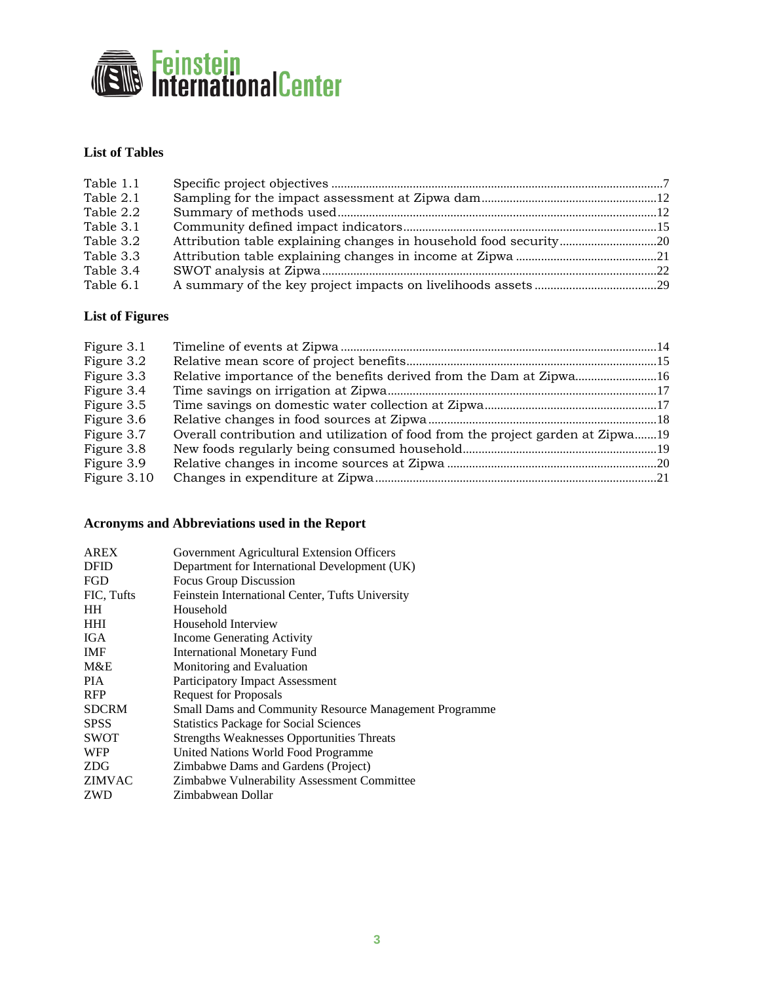

# **List of Tables**

| Table 1.1 |  |
|-----------|--|
| Table 2.1 |  |
| Table 2.2 |  |
| Table 3.1 |  |
| Table 3.2 |  |
| Table 3.3 |  |
| Table 3.4 |  |
| Table 6.1 |  |

# **List of Figures**

| Figure 3.1  |                                                                                 |  |
|-------------|---------------------------------------------------------------------------------|--|
| Figure 3.2  |                                                                                 |  |
| Figure 3.3  |                                                                                 |  |
| Figure 3.4  |                                                                                 |  |
| Figure 3.5  |                                                                                 |  |
| Figure 3.6  |                                                                                 |  |
| Figure 3.7  | Overall contribution and utilization of food from the project garden at Zipwa19 |  |
| Figure 3.8  |                                                                                 |  |
| Figure 3.9  |                                                                                 |  |
| Figure 3.10 |                                                                                 |  |

# **Acronyms and Abbreviations used in the Report**

| <b>AREX</b>   | Government Agricultural Extension Officers                    |
|---------------|---------------------------------------------------------------|
| <b>DFID</b>   | Department for International Development (UK)                 |
| <b>FGD</b>    | Focus Group Discussion                                        |
| FIC, Tufts    | Feinstein International Center, Tufts University              |
| <b>HH</b>     | Household                                                     |
| <b>HHI</b>    | Household Interview                                           |
| IGA.          | Income Generating Activity                                    |
| <b>IMF</b>    | <b>International Monetary Fund</b>                            |
| M&E           | Monitoring and Evaluation                                     |
| <b>PIA</b>    | Participatory Impact Assessment                               |
| <b>RFP</b>    | <b>Request for Proposals</b>                                  |
| <b>SDCRM</b>  | <b>Small Dams and Community Resource Management Programme</b> |
| <b>SPSS</b>   | <b>Statistics Package for Social Sciences</b>                 |
| <b>SWOT</b>   | <b>Strengths Weaknesses Opportunities Threats</b>             |
| WFP           | United Nations World Food Programme                           |
| <b>ZDG</b>    | Zimbabwe Dams and Gardens (Project)                           |
| <b>ZIMVAC</b> | Zimbabwe Vulnerability Assessment Committee                   |
| <b>ZWD</b>    | Zimbabwean Dollar                                             |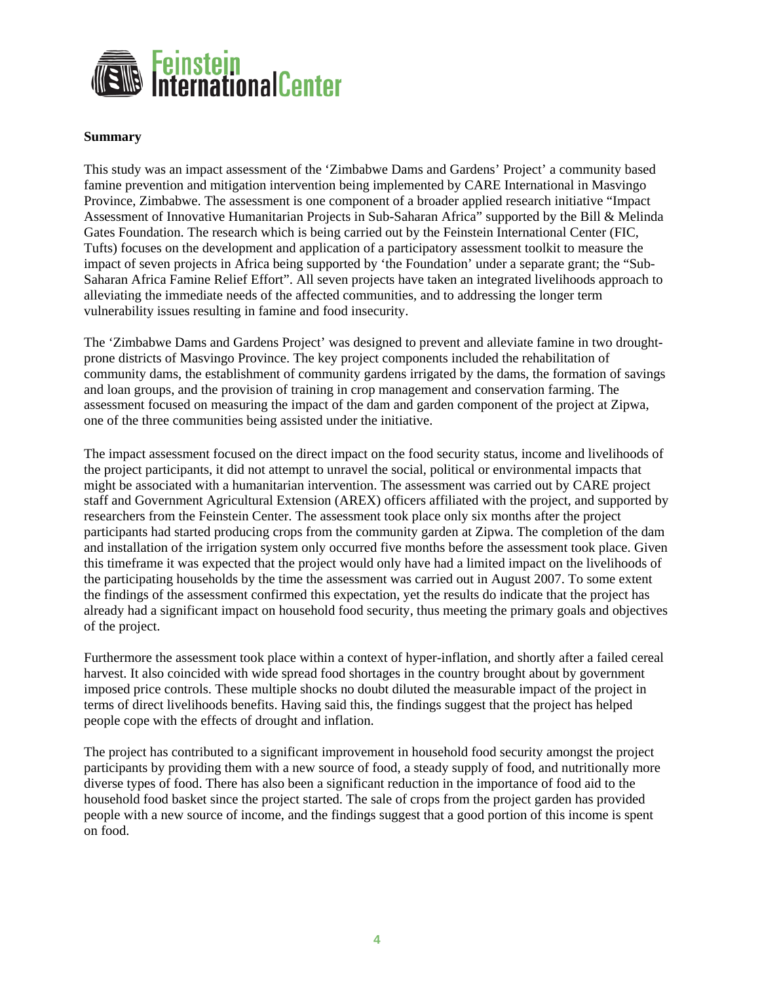<span id="page-4-0"></span>

#### **Summary**

This study was an impact assessment of the 'Zimbabwe Dams and Gardens' Project' a community based famine prevention and mitigation intervention being implemented by CARE International in Masvingo Province, Zimbabwe. The assessment is one component of a broader applied research initiative "Impact Assessment of Innovative Humanitarian Projects in Sub-Saharan Africa" supported by the Bill & Melinda Gates Foundation. The research which is being carried out by the Feinstein International Center (FIC, Tufts) focuses on the development and application of a participatory assessment toolkit to measure the impact of seven projects in Africa being supported by 'the Foundation' under a separate grant; the "Sub-Saharan Africa Famine Relief Effort". All seven projects have taken an integrated livelihoods approach to alleviating the immediate needs of the affected communities, and to addressing the longer term vulnerability issues resulting in famine and food insecurity.

The 'Zimbabwe Dams and Gardens Project' was designed to prevent and alleviate famine in two droughtprone districts of Masvingo Province. The key project components included the rehabilitation of community dams, the establishment of community gardens irrigated by the dams, the formation of savings and loan groups, and the provision of training in crop management and conservation farming. The assessment focused on measuring the impact of the dam and garden component of the project at Zipwa, one of the three communities being assisted under the initiative.

The impact assessment focused on the direct impact on the food security status, income and livelihoods of the project participants, it did not attempt to unravel the social, political or environmental impacts that might be associated with a humanitarian intervention. The assessment was carried out by CARE project staff and Government Agricultural Extension (AREX) officers affiliated with the project, and supported by researchers from the Feinstein Center. The assessment took place only six months after the project participants had started producing crops from the community garden at Zipwa. The completion of the dam and installation of the irrigation system only occurred five months before the assessment took place. Given this timeframe it was expected that the project would only have had a limited impact on the livelihoods of the participating households by the time the assessment was carried out in August 2007. To some extent the findings of the assessment confirmed this expectation, yet the results do indicate that the project has already had a significant impact on household food security, thus meeting the primary goals and objectives of the project.

Furthermore the assessment took place within a context of hyper-inflation, and shortly after a failed cereal harvest. It also coincided with wide spread food shortages in the country brought about by government imposed price controls. These multiple shocks no doubt diluted the measurable impact of the project in terms of direct livelihoods benefits. Having said this, the findings suggest that the project has helped people cope with the effects of drought and inflation.

The project has contributed to a significant improvement in household food security amongst the project participants by providing them with a new source of food, a steady supply of food, and nutritionally more diverse types of food. There has also been a significant reduction in the importance of food aid to the household food basket since the project started. The sale of crops from the project garden has provided people with a new source of income, and the findings suggest that a good portion of this income is spent on food.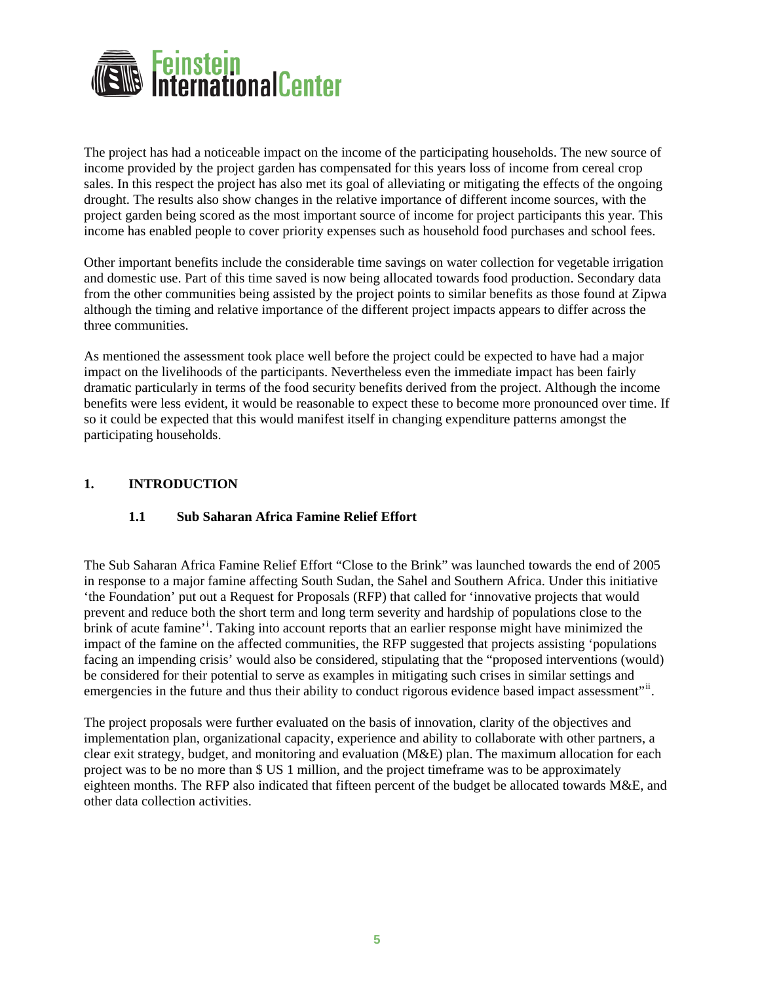<span id="page-5-0"></span>

The project has had a noticeable impact on the income of the participating households. The new source of income provided by the project garden has compensated for this years loss of income from cereal crop sales. In this respect the project has also met its goal of alleviating or mitigating the effects of the ongoing drought. The results also show changes in the relative importance of different income sources, with the project garden being scored as the most important source of income for project participants this year. This income has enabled people to cover priority expenses such as household food purchases and school fees.

Other important benefits include the considerable time savings on water collection for vegetable irrigation and domestic use. Part of this time saved is now being allocated towards food production. Secondary data from the other communities being assisted by the project points to similar benefits as those found at Zipwa although the timing and relative importance of the different project impacts appears to differ across the three communities.

As mentioned the assessment took place well before the project could be expected to have had a major impact on the livelihoods of the participants. Nevertheless even the immediate impact has been fairly dramatic particularly in terms of the food security benefits derived from the project. Although the income benefits were less evident, it would be reasonable to expect these to become more pronounced over time. If so it could be expected that this would manifest itself in changing expenditure patterns amongst the participating households.

### **1. INTRODUCTION**

## **1.1 Sub Saharan Africa Famine Relief Effort**

The Sub Saharan Africa Famine Relief Effort "Close to the Brink" was launched towards the end of 2005 in response to a major famine affecting South Sudan, the Sahel and Southern Africa. Under this initiative 'the Foundation' put out a Request for Proposals (RFP) that called for 'innovative projects that would prevent and reduce both the short term and long term severity and hardship of populations close to the br[i](#page-31-1)nk of acute famine'<sup>1</sup>. Taking into account reports that an earlier response might have minimized the impact of the famine on the affected communities, the RFP suggested that projects assisting 'populations facing an impending crisis' would also be considered, stipulating that the "proposed interventions (would) be considered for their potential to serve as examples in mitigating such crises in similar settings and emergencies in the future and thus their ability to conduct rigorous evidence based impact assessment"<sup>[ii](#page-31-2)</sup>.

The project proposals were further evaluated on the basis of innovation, clarity of the objectives and implementation plan, organizational capacity, experience and ability to collaborate with other partners, a clear exit strategy, budget, and monitoring and evaluation (M&E) plan. The maximum allocation for each project was to be no more than \$ US 1 million, and the project timeframe was to be approximately eighteen months. The RFP also indicated that fifteen percent of the budget be allocated towards M&E, and other data collection activities.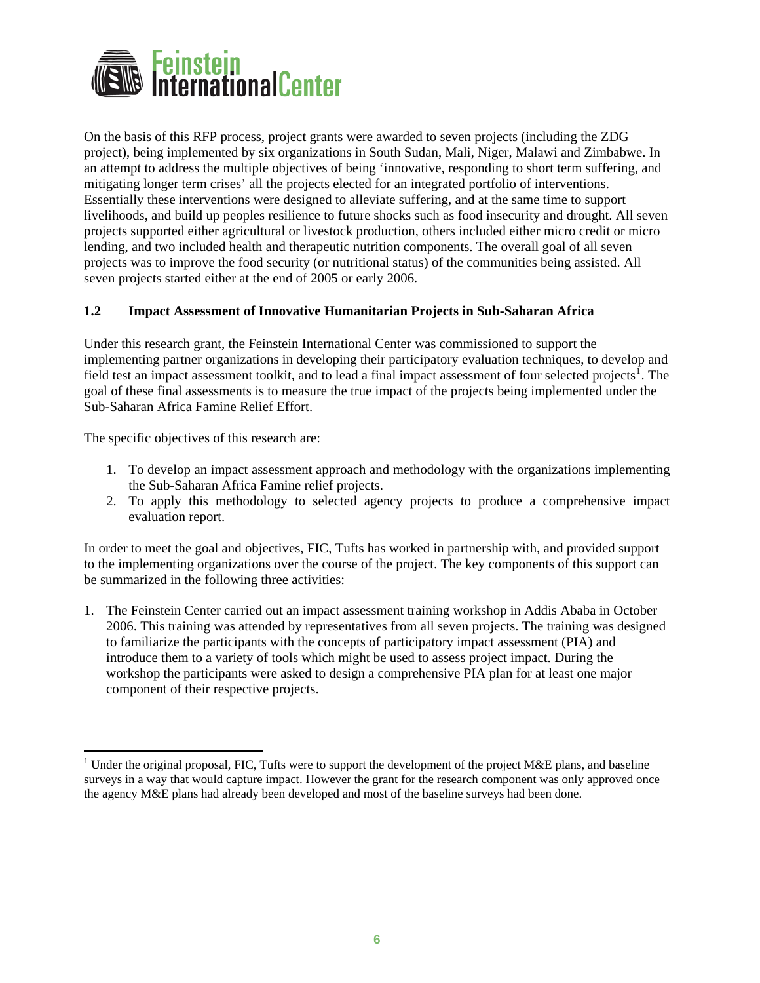<span id="page-6-0"></span>

On the basis of this RFP process, project grants were awarded to seven projects (including the ZDG project), being implemented by six organizations in South Sudan, Mali, Niger, Malawi and Zimbabwe. In an attempt to address the multiple objectives of being 'innovative, responding to short term suffering, and mitigating longer term crises' all the projects elected for an integrated portfolio of interventions. Essentially these interventions were designed to alleviate suffering, and at the same time to support livelihoods, and build up peoples resilience to future shocks such as food insecurity and drought. All seven projects supported either agricultural or livestock production, others included either micro credit or micro lending, and two included health and therapeutic nutrition components. The overall goal of all seven projects was to improve the food security (or nutritional status) of the communities being assisted. All seven projects started either at the end of 2005 or early 2006.

### **1.2 Impact Assessment of Innovative Humanitarian Projects in Sub-Saharan Africa**

Under this research grant, the Feinstein International Center was commissioned to support the implementing partner organizations in developing their participatory evaluation techniques, to develop and field test an impact assessment toolkit, and to lead a final impact assessment of four selected projects<sup>[1](#page-6-1)</sup>. The goal of these final assessments is to measure the true impact of the projects being implemented under the Sub-Saharan Africa Famine Relief Effort.

The specific objectives of this research are:

 $\overline{a}$ 

- 1. To develop an impact assessment approach and methodology with the organizations implementing the Sub-Saharan Africa Famine relief projects.
- 2. To apply this methodology to selected agency projects to produce a comprehensive impact evaluation report.

In order to meet the goal and objectives, FIC, Tufts has worked in partnership with, and provided support to the implementing organizations over the course of the project. The key components of this support can be summarized in the following three activities:

1. The Feinstein Center carried out an impact assessment training workshop in Addis Ababa in October 2006. This training was attended by representatives from all seven projects. The training was designed to familiarize the participants with the concepts of participatory impact assessment (PIA) and introduce them to a variety of tools which might be used to assess project impact. During the workshop the participants were asked to design a comprehensive PIA plan for at least one major component of their respective projects.

<span id="page-6-1"></span><sup>&</sup>lt;sup>1</sup> Under the original proposal, FIC, Tufts were to support the development of the project M&E plans, and baseline surveys in a way that would capture impact. However the grant for the research component was only approved once the agency M&E plans had already been developed and most of the baseline surveys had been done.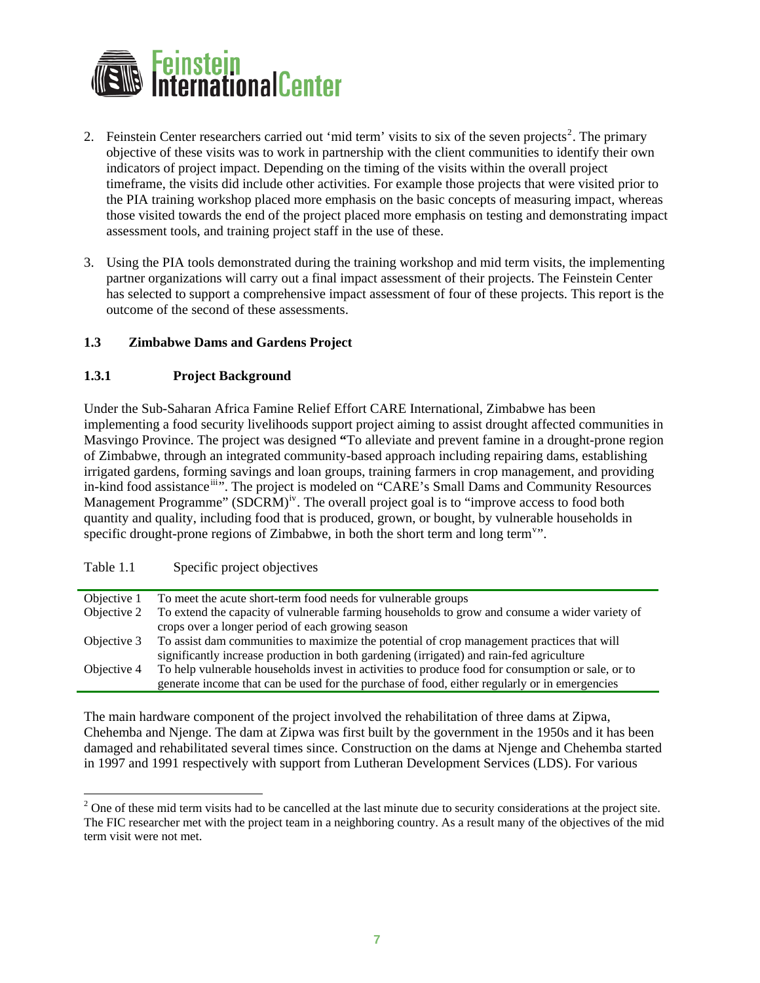<span id="page-7-0"></span>

- [2](#page-7-1). Feinstein Center researchers carried out 'mid term' visits to six of the seven projects<sup>2</sup>. The primary objective of these visits was to work in partnership with the client communities to identify their own indicators of project impact. Depending on the timing of the visits within the overall project timeframe, the visits did include other activities. For example those projects that were visited prior to the PIA training workshop placed more emphasis on the basic concepts of measuring impact, whereas those visited towards the end of the project placed more emphasis on testing and demonstrating impact assessment tools, and training project staff in the use of these.
- 3. Using the PIA tools demonstrated during the training workshop and mid term visits, the implementing partner organizations will carry out a final impact assessment of their projects. The Feinstein Center has selected to support a comprehensive impact assessment of four of these projects. This report is the outcome of the second of these assessments.

### **1.3 Zimbabwe Dams and Gardens Project**

### **1.3.1 Project Background**

Under the Sub-Saharan Africa Famine Relief Effort CARE International, Zimbabwe has been implementing a food security livelihoods support project aiming to assist drought affected communities in Masvingo Province. The project was designed **"**To alleviate and prevent famine in a drought-prone region of Zimbabwe, through an integrated community-based approach including repairing dams, establishing irrigated gardens, forming savings and loan groups, training farmers in crop management, and providing in-kind food assistance<sup>[iii](#page-31-3)</sup>". The project is modeled on "CARE's Small Dams and Community Resources Management Programme"  $(SDCRM)^{iv}$  $(SDCRM)^{iv}$  $(SDCRM)^{iv}$ . The overall project goal is to "improve access to food both quantity and quality, including food that is produced, grown, or bought, by vulnerable households in specific drought-prone regions of Zimbabwe, in both the short term and long term<sup>[v](#page-31-3)</sup>".

### Table 1.1 Specific project objectives

| Objective 1 | To meet the acute short-term food needs for vulnerable groups                                     |
|-------------|---------------------------------------------------------------------------------------------------|
| Objective 2 | To extend the capacity of vulnerable farming households to grow and consume a wider variety of    |
|             | crops over a longer period of each growing season                                                 |
| Objective 3 | To assist dam communities to maximize the potential of crop management practices that will        |
|             | significantly increase production in both gardening (irrigated) and rain-fed agriculture          |
| Objective 4 | To help vulnerable households invest in activities to produce food for consumption or sale, or to |
|             | generate income that can be used for the purchase of food, either regularly or in emergencies     |

The main hardware component of the project involved the rehabilitation of three dams at Zipwa, Chehemba and Njenge. The dam at Zipwa was first built by the government in the 1950s and it has been damaged and rehabilitated several times since. Construction on the dams at Njenge and Chehemba started in 1997 and 1991 respectively with support from Lutheran Development Services (LDS). For various

<span id="page-7-1"></span><sup>&</sup>lt;sup>2</sup> One of these mid term visits had to be cancelled at the last minute due to security considerations at the project site. The FIC researcher met with the project team in a neighboring country. As a result many of the objectives of the mid term visit were not met.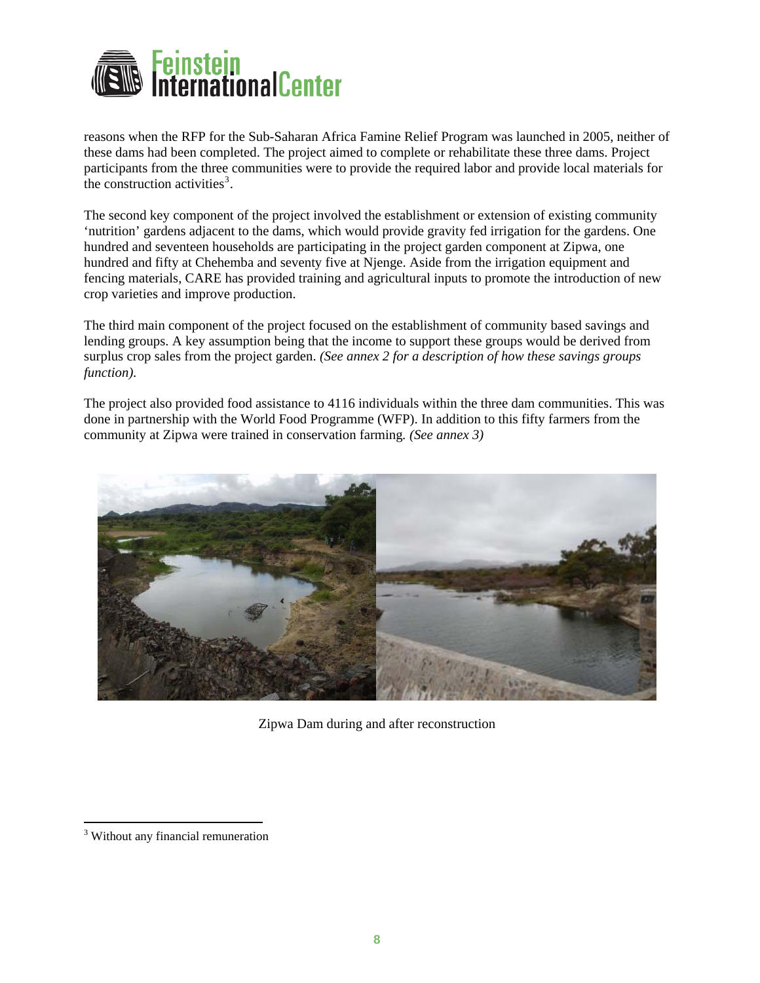

reasons when the RFP for the Sub-Saharan Africa Famine Relief Program was launched in 2005, neither of these dams had been completed. The project aimed to complete or rehabilitate these three dams. Project participants from the three communities were to provide the required labor and provide local materials for the construction activities<sup>[3](#page-8-0)</sup>.

The second key component of the project involved the establishment or extension of existing community 'nutrition' gardens adjacent to the dams, which would provide gravity fed irrigation for the gardens. One hundred and seventeen households are participating in the project garden component at Zipwa, one hundred and fifty at Chehemba and seventy five at Njenge. Aside from the irrigation equipment and fencing materials, CARE has provided training and agricultural inputs to promote the introduction of new crop varieties and improve production.

The third main component of the project focused on the establishment of community based savings and lending groups. A key assumption being that the income to support these groups would be derived from surplus crop sales from the project garden. *(See annex 2 for a description of how these savings groups function).*

The project also provided food assistance to 4116 individuals within the three dam communities. This was done in partnership with the World Food Programme (WFP). In addition to this fifty farmers from the community at Zipwa were trained in conservation farming*. (See annex 3)* 



Zipwa Dam during and after reconstruction

 $\overline{a}$ 

<span id="page-8-0"></span><sup>&</sup>lt;sup>3</sup> Without any financial remuneration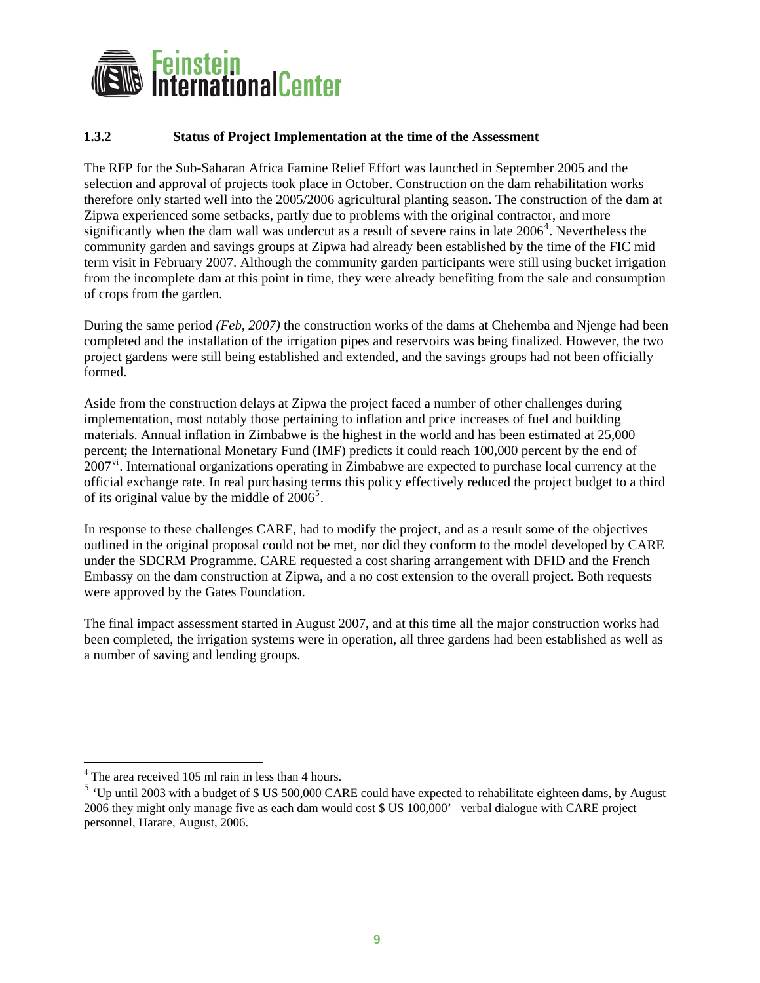<span id="page-9-0"></span>

### **1.3.2 Status of Project Implementation at the time of the Assessment**

The RFP for the Sub-Saharan Africa Famine Relief Effort was launched in September 2005 and the selection and approval of projects took place in October. Construction on the dam rehabilitation works therefore only started well into the 2005/2006 agricultural planting season. The construction of the dam at Zipwa experienced some setbacks, partly due to problems with the original contractor, and more significantly when the dam wall was undercut as a result of severe rains in late  $2006<sup>4</sup>$  $2006<sup>4</sup>$  $2006<sup>4</sup>$ . Nevertheless the community garden and savings groups at Zipwa had already been established by the time of the FIC mid term visit in February 2007. Although the community garden participants were still using bucket irrigation from the incomplete dam at this point in time, they were already benefiting from the sale and consumption of crops from the garden.

During the same period *(Feb, 2007)* the construction works of the dams at Chehemba and Njenge had been completed and the installation of the irrigation pipes and reservoirs was being finalized. However, the two project gardens were still being established and extended, and the savings groups had not been officially formed.

Aside from the construction delays at Zipwa the project faced a number of other challenges during implementation, most notably those pertaining to inflation and price increases of fuel and building materials. Annual inflation in Zimbabwe is the highest in the world and has been estimated at 25,000 percent; the International Monetary Fund (IMF) predicts it could reach 100,000 percent by the end of 2007<sup>[vi](#page-31-3)</sup>. International organizations operating in Zimbabwe are expected to purchase local currency at the official exchange rate. In real purchasing terms this policy effectively reduced the project budget to a third of its original value by the middle of  $2006^5$  $2006^5$ .

In response to these challenges CARE, had to modify the project, and as a result some of the objectives outlined in the original proposal could not be met, nor did they conform to the model developed by CARE under the SDCRM Programme. CARE requested a cost sharing arrangement with DFID and the French Embassy on the dam construction at Zipwa, and a no cost extension to the overall project. Both requests were approved by the Gates Foundation.

The final impact assessment started in August 2007, and at this time all the major construction works had been completed, the irrigation systems were in operation, all three gardens had been established as well as a number of saving and lending groups.

 $\overline{a}$ 

<sup>&</sup>lt;sup>4</sup> The area received 105 ml rain in less than 4 hours.

<span id="page-9-2"></span><span id="page-9-1"></span><sup>5</sup> 'Up until 2003 with a budget of \$ US 500,000 CARE could have expected to rehabilitate eighteen dams, by August 2006 they might only manage five as each dam would cost \$ US 100,000' –verbal dialogue with CARE project personnel, Harare, August, 2006.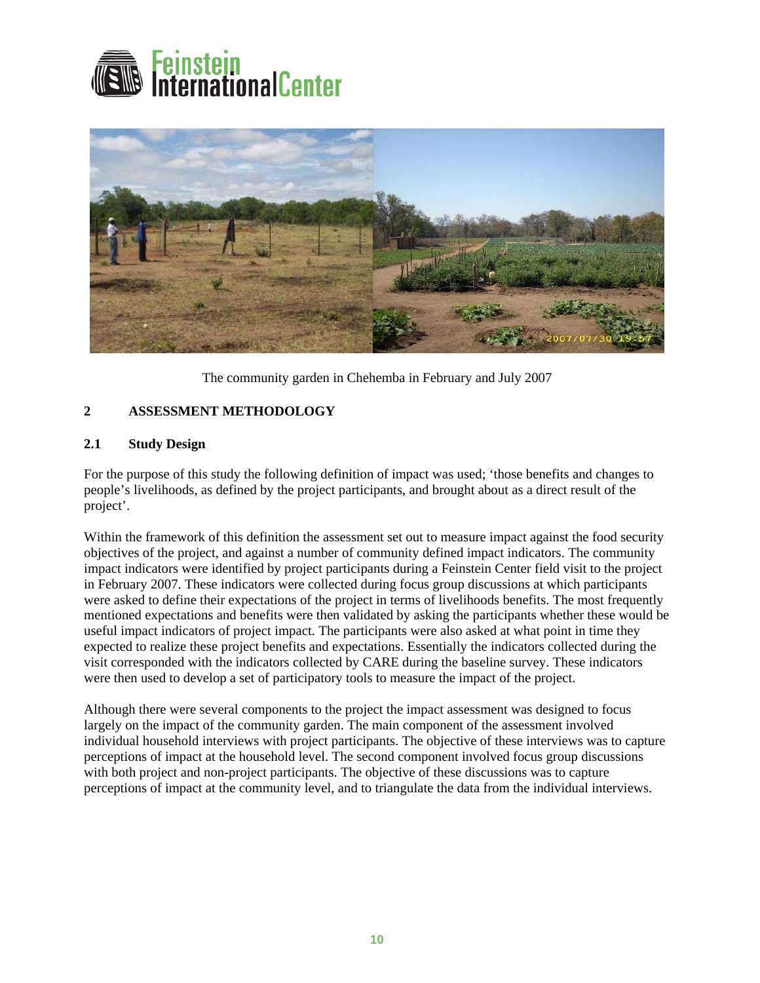<span id="page-10-0"></span>



The community garden in Chehemba in February and July 2007

### **2 ASSESSMENT METHODOLOGY**

### **2.1 Study Design**

For the purpose of this study the following definition of impact was used; 'those benefits and changes to people's livelihoods, as defined by the project participants, and brought about as a direct result of the project'.

Within the framework of this definition the assessment set out to measure impact against the food security objectives of the project, and against a number of community defined impact indicators. The community impact indicators were identified by project participants during a Feinstein Center field visit to the project in February 2007. These indicators were collected during focus group discussions at which participants were asked to define their expectations of the project in terms of livelihoods benefits. The most frequently mentioned expectations and benefits were then validated by asking the participants whether these would be useful impact indicators of project impact. The participants were also asked at what point in time they expected to realize these project benefits and expectations. Essentially the indicators collected during the visit corresponded with the indicators collected by CARE during the baseline survey. These indicators were then used to develop a set of participatory tools to measure the impact of the project.

Although there were several components to the project the impact assessment was designed to focus largely on the impact of the community garden. The main component of the assessment involved individual household interviews with project participants. The objective of these interviews was to capture perceptions of impact at the household level. The second component involved focus group discussions with both project and non-project participants. The objective of these discussions was to capture perceptions of impact at the community level, and to triangulate the data from the individual interviews.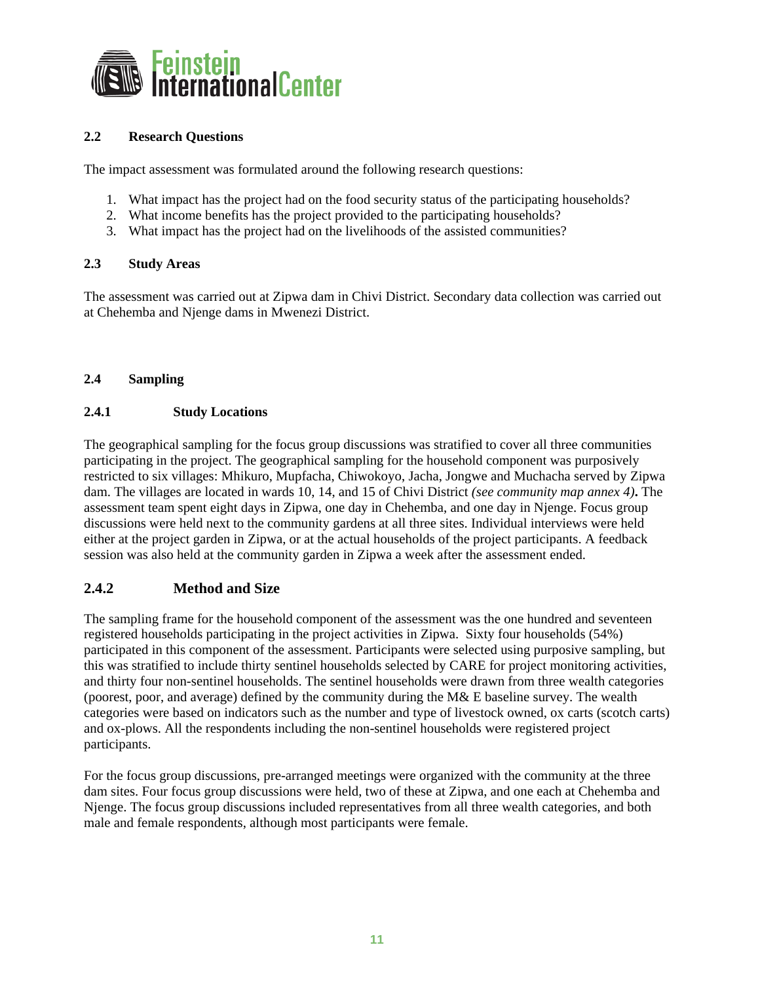<span id="page-11-0"></span>

### **2.2 Research Questions**

The impact assessment was formulated around the following research questions:

- 1. What impact has the project had on the food security status of the participating households?
- 2. What income benefits has the project provided to the participating households?
- 3. What impact has the project had on the livelihoods of the assisted communities?

#### **2.3 Study Areas**

The assessment was carried out at Zipwa dam in Chivi District. Secondary data collection was carried out at Chehemba and Njenge dams in Mwenezi District.

### **2.4 Sampling**

#### **2.4.1 Study Locations**

The geographical sampling for the focus group discussions was stratified to cover all three communities participating in the project. The geographical sampling for the household component was purposively restricted to six villages: Mhikuro, Mupfacha, Chiwokoyo, Jacha, Jongwe and Muchacha served by Zipwa dam. The villages are located in wards 10, 14, and 15 of Chivi District *(see community map annex 4)***.** The assessment team spent eight days in Zipwa, one day in Chehemba, and one day in Njenge. Focus group discussions were held next to the community gardens at all three sites. Individual interviews were held either at the project garden in Zipwa, or at the actual households of the project participants. A feedback session was also held at the community garden in Zipwa a week after the assessment ended.

### **2.4.2 Method and Size**

The sampling frame for the household component of the assessment was the one hundred and seventeen registered households participating in the project activities in Zipwa. Sixty four households (54%) participated in this component of the assessment. Participants were selected using purposive sampling, but this was stratified to include thirty sentinel households selected by CARE for project monitoring activities, and thirty four non-sentinel households. The sentinel households were drawn from three wealth categories (poorest, poor, and average) defined by the community during the M& E baseline survey. The wealth categories were based on indicators such as the number and type of livestock owned, ox carts (scotch carts) and ox-plows. All the respondents including the non-sentinel households were registered project participants.

For the focus group discussions, pre-arranged meetings were organized with the community at the three dam sites. Four focus group discussions were held, two of these at Zipwa, and one each at Chehemba and Njenge. The focus group discussions included representatives from all three wealth categories, and both male and female respondents, although most participants were female.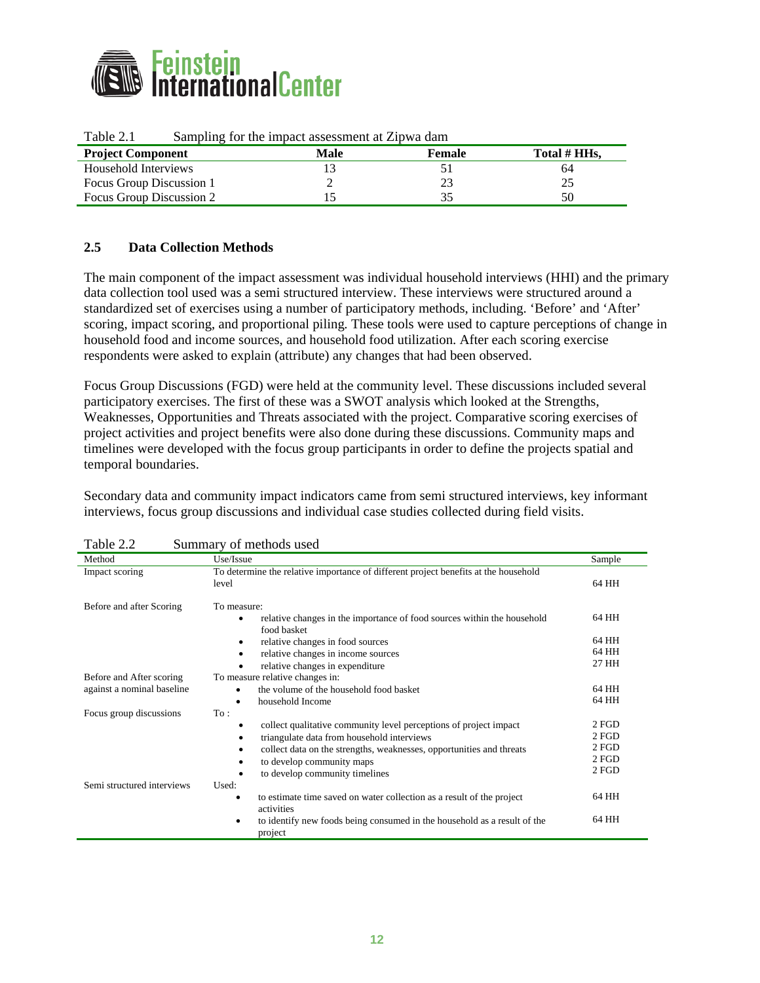<span id="page-12-0"></span>

| <b>Project Component</b> | Daniphing for the impact abbooment at Enp was added<br>Female<br>Male |  | Total # HHs. |
|--------------------------|-----------------------------------------------------------------------|--|--------------|
| Household Interviews     |                                                                       |  | 64           |
| Focus Group Discussion 1 |                                                                       |  | ∠~           |
| Focus Group Discussion 2 |                                                                       |  |              |

### Table 2.1 Sampling for the impact assessment at Zipwa dam

### **2.5 Data Collection Methods**

The main component of the impact assessment was individual household interviews (HHI) and the primary data collection tool used was a semi structured interview. These interviews were structured around a standardized set of exercises using a number of participatory methods, including. 'Before' and 'After' scoring, impact scoring, and proportional piling*.* These tools were used to capture perceptions of change in household food and income sources, and household food utilization. After each scoring exercise respondents were asked to explain (attribute) any changes that had been observed.

Focus Group Discussions (FGD) were held at the community level. These discussions included several participatory exercises. The first of these was a SWOT analysis which looked at the Strengths, Weaknesses, Opportunities and Threats associated with the project. Comparative scoring exercises of project activities and project benefits were also done during these discussions. Community maps and timelines were developed with the focus group participants in order to define the projects spatial and temporal boundaries.

Secondary data and community impact indicators came from semi structured interviews, key informant interviews, focus group discussions and individual case studies collected during field visits.

| Table 2.2<br>Summary of methods used |                                                                                                     |        |  |  |
|--------------------------------------|-----------------------------------------------------------------------------------------------------|--------|--|--|
| Method                               | Use/Issue                                                                                           | Sample |  |  |
| Impact scoring                       | To determine the relative importance of different project benefits at the household<br>level        | 64 HH  |  |  |
| Before and after Scoring             | To measure:                                                                                         |        |  |  |
|                                      | relative changes in the importance of food sources within the household<br>$\bullet$<br>food basket | 64 HH  |  |  |
|                                      | relative changes in food sources<br>٠                                                               | 64 HH  |  |  |
|                                      | relative changes in income sources<br>٠                                                             | 64 HH  |  |  |
|                                      | relative changes in expenditure                                                                     | 27 HH  |  |  |
| Before and After scoring             | To measure relative changes in:                                                                     |        |  |  |
| against a nominal baseline           | the volume of the household food basket                                                             | 64 HH  |  |  |
|                                      | household Income<br>$\bullet$                                                                       | 64 HH  |  |  |
| Focus group discussions              | To:                                                                                                 |        |  |  |
|                                      | collect qualitative community level perceptions of project impact<br>٠                              | 2 FGD  |  |  |
|                                      | triangulate data from household interviews<br>٠                                                     | 2 FGD  |  |  |
|                                      | collect data on the strengths, weaknesses, opportunities and threats<br>٠                           | 2 FGD  |  |  |
|                                      | to develop community maps<br>٠                                                                      | 2 FGD  |  |  |
|                                      | to develop community timelines                                                                      | 2 FGD  |  |  |
| Semi structured interviews           | Used:                                                                                               |        |  |  |
|                                      | to estimate time saved on water collection as a result of the project<br>$\bullet$<br>activities    | 64 HH  |  |  |
|                                      | to identify new foods being consumed in the household as a result of the<br>٠<br>project            | 64 HH  |  |  |

Table 2.2 Summary of methods used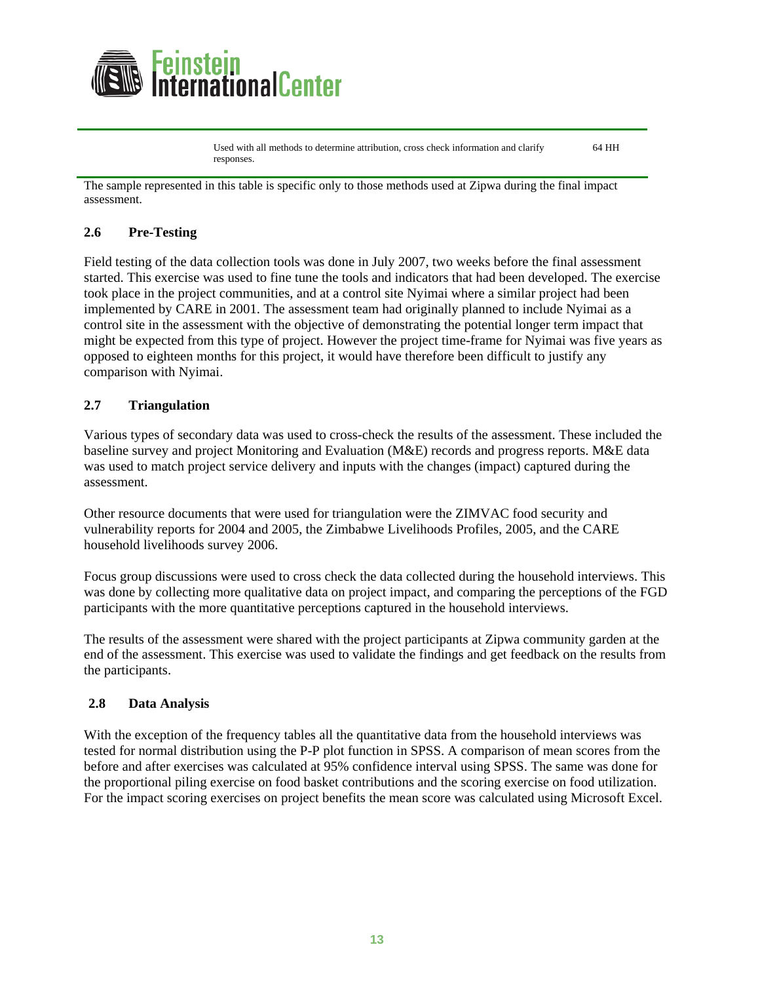<span id="page-13-0"></span>

Used with all methods to determine attribution, cross check information and clarify responses. 64 HH

The sample represented in this table is specific only to those methods used at Zipwa during the final impact assessment.

### **2.6 Pre-Testing**

Field testing of the data collection tools was done in July 2007, two weeks before the final assessment started. This exercise was used to fine tune the tools and indicators that had been developed. The exercise took place in the project communities, and at a control site Nyimai where a similar project had been implemented by CARE in 2001. The assessment team had originally planned to include Nyimai as a control site in the assessment with the objective of demonstrating the potential longer term impact that might be expected from this type of project. However the project time-frame for Nyimai was five years as opposed to eighteen months for this project, it would have therefore been difficult to justify any comparison with Nyimai.

### **2.7 Triangulation**

Various types of secondary data was used to cross-check the results of the assessment. These included the baseline survey and project Monitoring and Evaluation (M&E) records and progress reports. M&E data was used to match project service delivery and inputs with the changes (impact) captured during the assessment.

Other resource documents that were used for triangulation were the ZIMVAC food security and vulnerability reports for 2004 and 2005, the Zimbabwe Livelihoods Profiles, 2005, and the CARE household livelihoods survey 2006.

Focus group discussions were used to cross check the data collected during the household interviews. This was done by collecting more qualitative data on project impact, and comparing the perceptions of the FGD participants with the more quantitative perceptions captured in the household interviews.

The results of the assessment were shared with the project participants at Zipwa community garden at the end of the assessment. This exercise was used to validate the findings and get feedback on the results from the participants.

### **2.8 Data Analysis**

With the exception of the frequency tables all the quantitative data from the household interviews was tested for normal distribution using the P-P plot function in SPSS. A comparison of mean scores from the before and after exercises was calculated at 95% confidence interval using SPSS. The same was done for the proportional piling exercise on food basket contributions and the scoring exercise on food utilization. For the impact scoring exercises on project benefits the mean score was calculated using Microsoft Excel.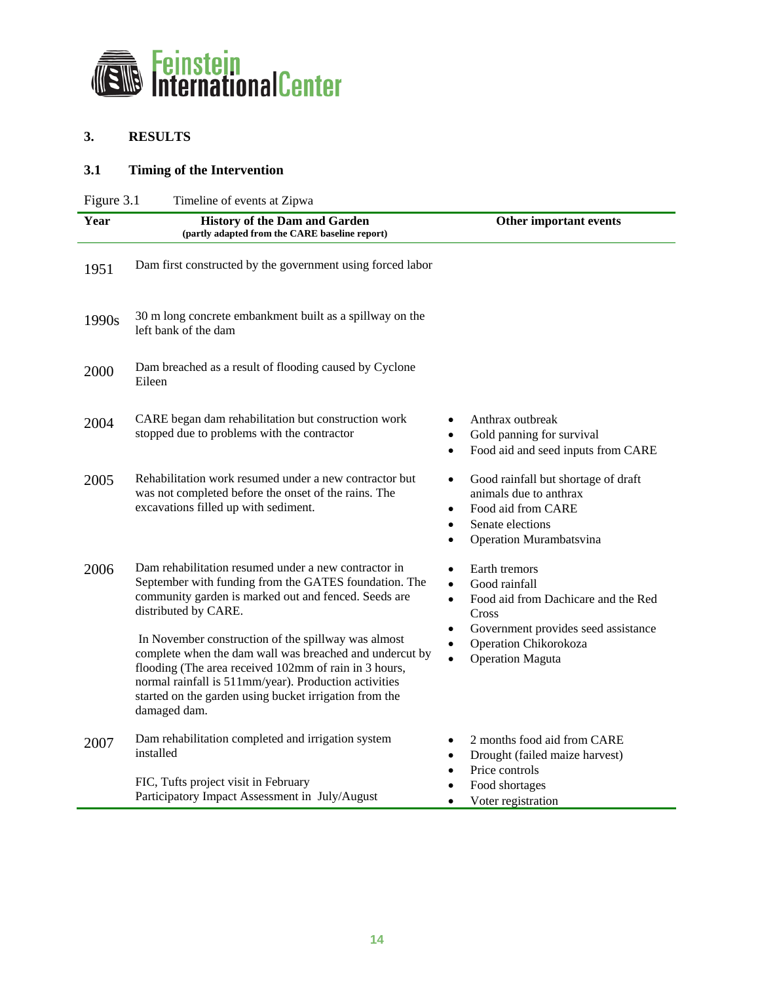<span id="page-14-0"></span>

## **3. RESULTS**

# **3.1 Timing of the Intervention**

| Figure 3.1<br>Timeline of events at Zipwa |                                                                                                                                                                                                                                                                                                            |                                                                                                                                         |  |
|-------------------------------------------|------------------------------------------------------------------------------------------------------------------------------------------------------------------------------------------------------------------------------------------------------------------------------------------------------------|-----------------------------------------------------------------------------------------------------------------------------------------|--|
| Year                                      | <b>History of the Dam and Garden</b><br>(partly adapted from the CARE baseline report)                                                                                                                                                                                                                     | Other important events                                                                                                                  |  |
| 1951                                      | Dam first constructed by the government using forced labor                                                                                                                                                                                                                                                 |                                                                                                                                         |  |
| 1990s                                     | 30 m long concrete embankment built as a spillway on the<br>left bank of the dam                                                                                                                                                                                                                           |                                                                                                                                         |  |
| 2000                                      | Dam breached as a result of flooding caused by Cyclone<br>Eileen                                                                                                                                                                                                                                           |                                                                                                                                         |  |
| 2004                                      | CARE began dam rehabilitation but construction work<br>stopped due to problems with the contractor                                                                                                                                                                                                         | Anthrax outbreak<br>Gold panning for survival<br>$\bullet$<br>Food aid and seed inputs from CARE                                        |  |
| 2005                                      | Rehabilitation work resumed under a new contractor but<br>was not completed before the onset of the rains. The<br>excavations filled up with sediment.                                                                                                                                                     | Good rainfall but shortage of draft<br>٠<br>animals due to anthrax<br>Food aid from CARE<br>Senate elections<br>Operation Murambatsvina |  |
| 2006                                      | Dam rehabilitation resumed under a new contractor in<br>September with funding from the GATES foundation. The<br>community garden is marked out and fenced. Seeds are<br>distributed by CARE.                                                                                                              | Earth tremors<br>Good rainfall<br>$\bullet$<br>Food aid from Dachicare and the Red<br>$\bullet$<br>Cross                                |  |
|                                           | In November construction of the spillway was almost<br>complete when the dam wall was breached and undercut by<br>flooding (The area received 102mm of rain in 3 hours,<br>normal rainfall is 511mm/year). Production activities<br>started on the garden using bucket irrigation from the<br>damaged dam. | Government provides seed assistance<br>Operation Chikorokoza<br><b>Operation Maguta</b><br>$\bullet$                                    |  |
| 2007                                      | Dam rehabilitation completed and irrigation system<br>installed                                                                                                                                                                                                                                            | 2 months food aid from CARE<br>Drought (failed maize harvest)<br>$\bullet$<br>Price controls                                            |  |
|                                           | FIC, Tufts project visit in February<br>Participatory Impact Assessment in July/August                                                                                                                                                                                                                     | Food shortages<br>Voter registration<br>$\bullet$                                                                                       |  |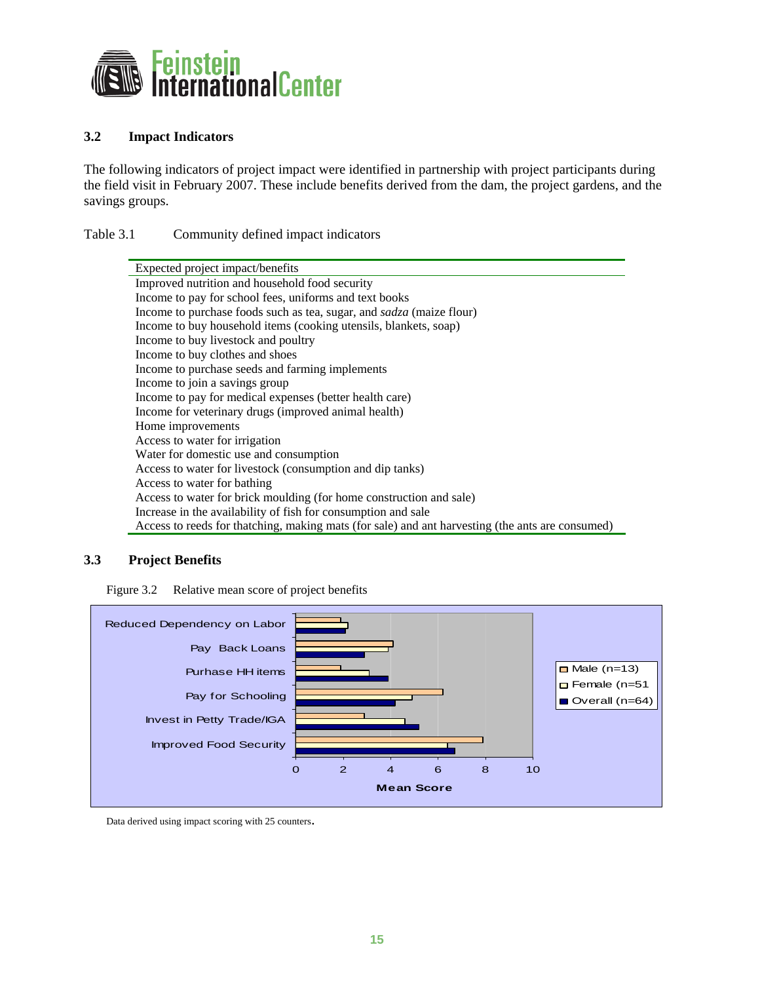<span id="page-15-0"></span>

### **3.2 Impact Indicators**

The following indicators of project impact were identified in partnership with project participants during the field visit in February 2007. These include benefits derived from the dam, the project gardens, and the savings groups.

Table 3.1 Community defined impact indicators

| Expected project impact/benefits                                                                 |  |  |
|--------------------------------------------------------------------------------------------------|--|--|
| Improved nutrition and household food security                                                   |  |  |
| Income to pay for school fees, uniforms and text books                                           |  |  |
| Income to purchase foods such as tea, sugar, and sadza (maize flour)                             |  |  |
| Income to buy household items (cooking utensils, blankets, soap)                                 |  |  |
| Income to buy livestock and poultry                                                              |  |  |
| Income to buy clothes and shoes                                                                  |  |  |
| Income to purchase seeds and farming implements                                                  |  |  |
| Income to join a savings group                                                                   |  |  |
| Income to pay for medical expenses (better health care)                                          |  |  |
| Income for veterinary drugs (improved animal health)                                             |  |  |
| Home improvements                                                                                |  |  |
| Access to water for irrigation                                                                   |  |  |
| Water for domestic use and consumption                                                           |  |  |
| Access to water for livestock (consumption and dip tanks)                                        |  |  |
| Access to water for bathing                                                                      |  |  |
| Access to water for brick moulding (for home construction and sale)                              |  |  |
| Increase in the availability of fish for consumption and sale                                    |  |  |
| Access to reeds for thatching, making mats (for sale) and ant harvesting (the ants are consumed) |  |  |

### **3.3 Project Benefits**

Figure 3.2 Relative mean score of project benefits



Data derived using impact scoring with 25 counters.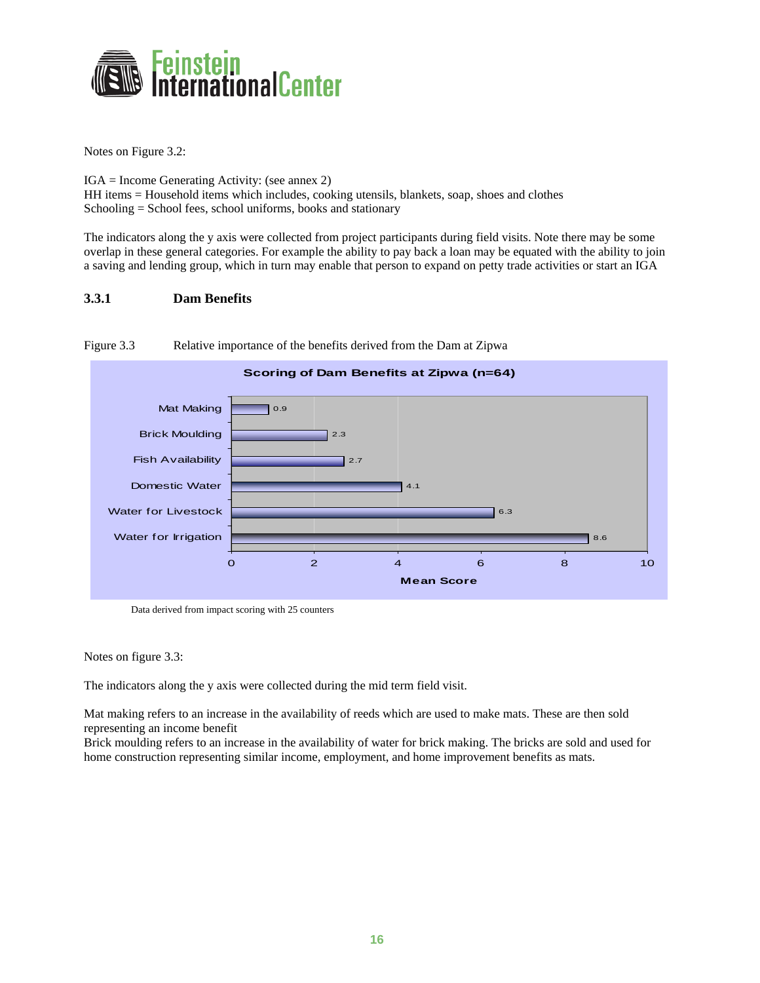<span id="page-16-0"></span>

Notes on Figure 3.2:

IGA = Income Generating Activity: (see annex 2) HH items = Household items which includes, cooking utensils, blankets, soap, shoes and clothes Schooling = School fees, school uniforms, books and stationary

The indicators along the y axis were collected from project participants during field visits. Note there may be some overlap in these general categories. For example the ability to pay back a loan may be equated with the ability to join a saving and lending group, which in turn may enable that person to expand on petty trade activities or start an IGA

#### **3.3.1 Dam Benefits**



Figure 3.3 Relative importance of the benefits derived from the Dam at Zipwa

Data derived from impact scoring with 25 counters

Notes on figure 3.3:

The indicators along the y axis were collected during the mid term field visit.

Mat making refers to an increase in the availability of reeds which are used to make mats. These are then sold representing an income benefit

Brick moulding refers to an increase in the availability of water for brick making. The bricks are sold and used for home construction representing similar income, employment, and home improvement benefits as mats.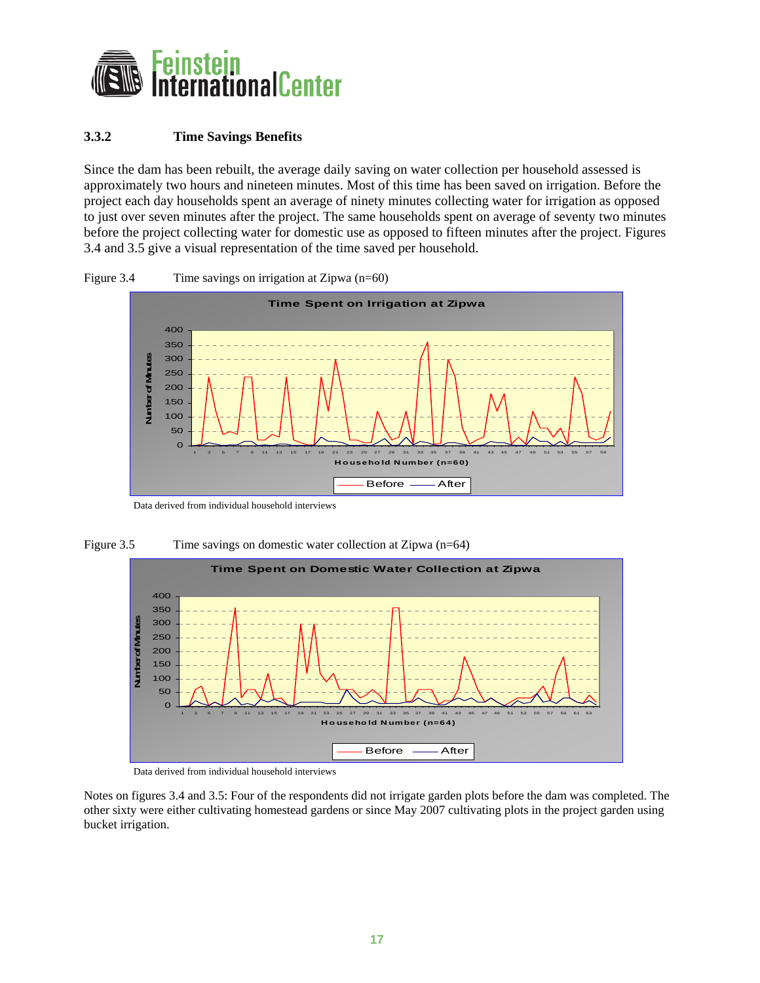<span id="page-17-0"></span>

### **3.3.2 Time Savings Benefits**

Since the dam has been rebuilt, the average daily saving on water collection per household assessed is approximately two hours and nineteen minutes. Most of this time has been saved on irrigation. Before the project each day households spent an average of ninety minutes collecting water for irrigation as opposed to just over seven minutes after the project. The same households spent on average of seventy two minutes before the project collecting water for domestic use as opposed to fifteen minutes after the project. Figures 3.4 and 3.5 give a visual representation of the time saved per household.





Data derived from individual household interviews





Data derived from individual household interviews

Notes on figures 3.4 and 3.5: Four of the respondents did not irrigate garden plots before the dam was completed. The other sixty were either cultivating homestead gardens or since May 2007 cultivating plots in the project garden using bucket irrigation.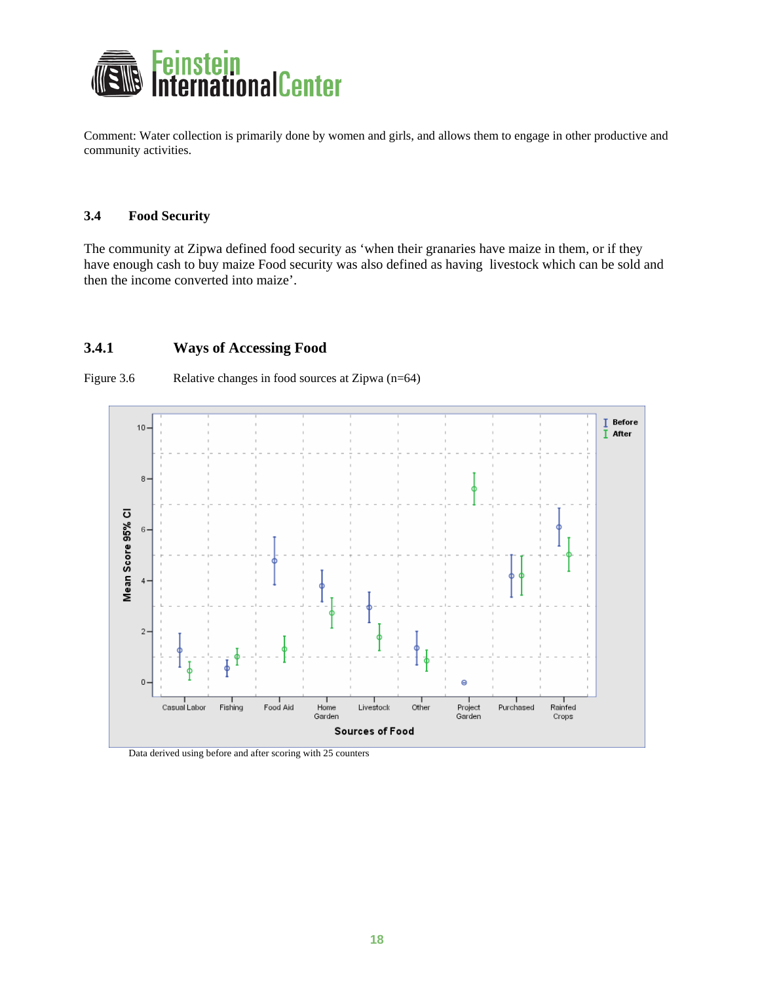<span id="page-18-0"></span>

Comment: Water collection is primarily done by women and girls, and allows them to engage in other productive and community activities.

#### **3.4 Food Security**

The community at Zipwa defined food security as 'when their granaries have maize in them, or if they have enough cash to buy maize Food security was also defined as having livestock which can be sold and then the income converted into maize'.

### **3.4.1 Ways of Accessing Food**



Figure 3.6 Relative changes in food sources at Zipwa (n=64)

Data derived using before and after scoring with 25 counters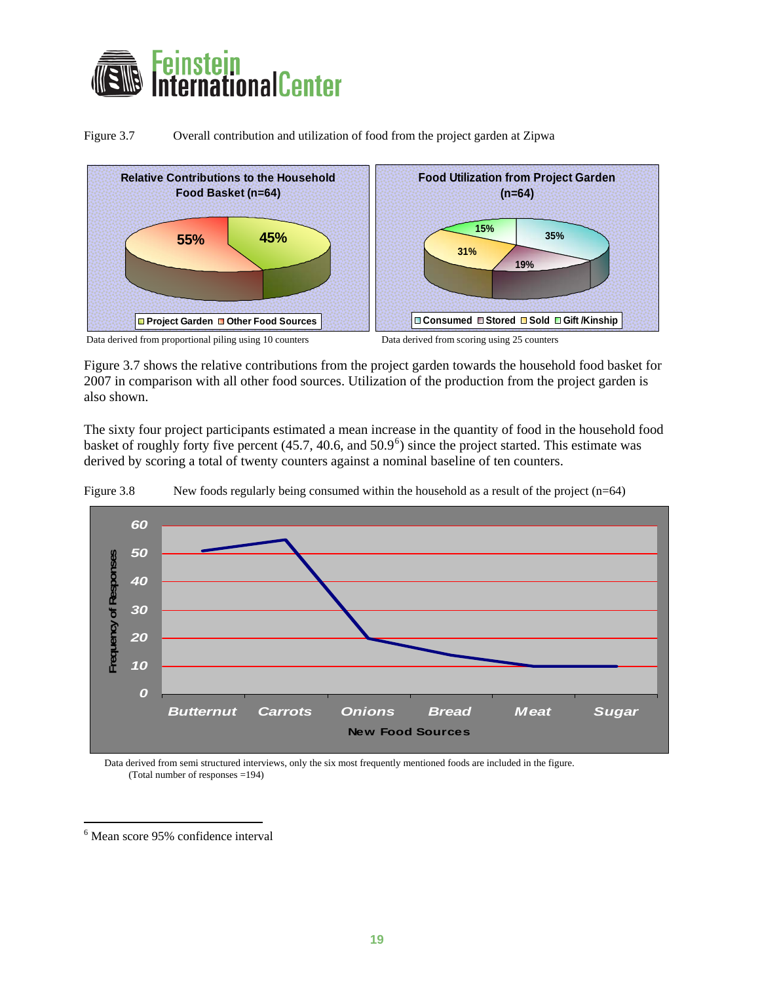<span id="page-19-0"></span>

Figure 3.7 Overall contribution and utilization of food from the project garden at Zipwa



Data derived from proportional piling using 10 counters Data derived from scoring using 25 counters

Figure 3.7 shows the relative contributions from the project garden towards the household food basket for 2007 in comparison with all other food sources. Utilization of the production from the project garden is also shown.

The sixty four project participants estimated a mean increase in the quantity of food in the household food basket of roughly forty five percent  $(45.7, 40.6,$  $(45.7, 40.6,$  $(45.7, 40.6,$  and  $50.9^{\circ})$  since the project started. This estimate was derived by scoring a total of twenty counters against a nominal baseline of ten counters.



Figure 3.8 New foods regularly being consumed within the household as a result of the project (n=64)

Data derived from semi structured interviews, only the six most frequently mentioned foods are included in the figure. (Total number of responses =194)

 $\overline{a}$ 

<span id="page-19-1"></span><sup>6</sup> Mean score 95% confidence interval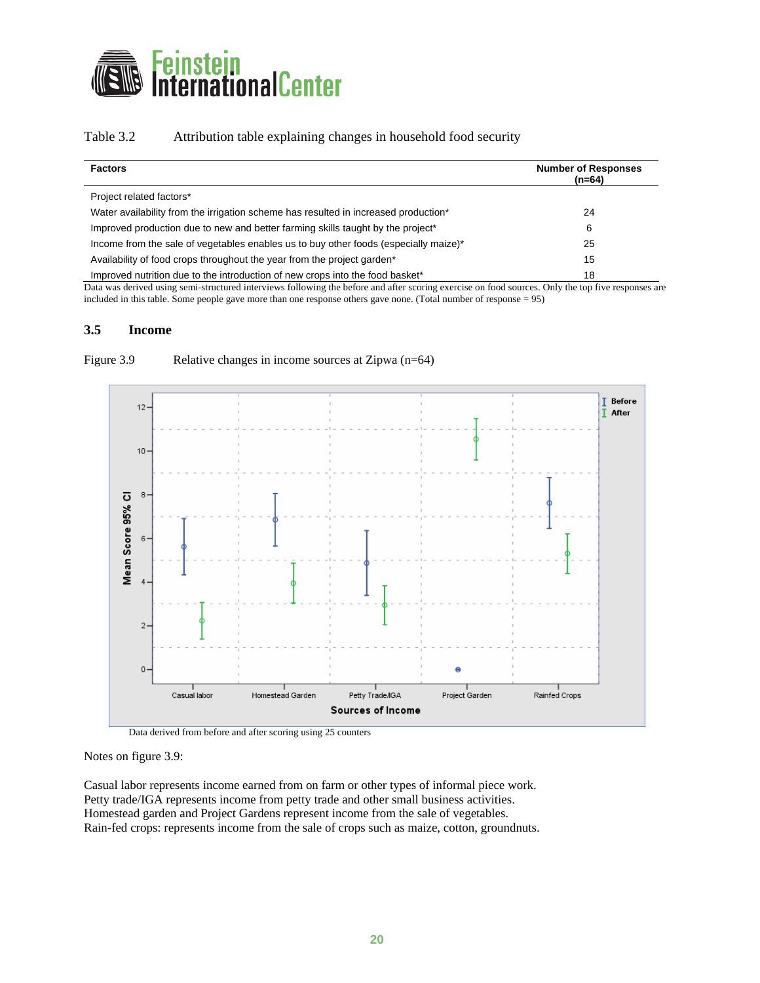<span id="page-20-0"></span>

### Table 3.2 Attribution table explaining changes in household food security

| <b>Factors</b>                                                                              | <b>Number of Responses</b><br>$(n=64)$ |
|---------------------------------------------------------------------------------------------|----------------------------------------|
| Project related factors*                                                                    |                                        |
| Water availability from the irrigation scheme has resulted in increased production*         | 24                                     |
| Improved production due to new and better farming skills taught by the project <sup>*</sup> | 6                                      |
| Income from the sale of vegetables enables us to buy other foods (especially maize)*        | 25                                     |
| Availability of food crops throughout the year from the project garden <sup>*</sup>         | 15                                     |
| Improved nutrition due to the introduction of new crops into the food basket*               | 18                                     |

Data was derived using semi-structured interviews following the before and after scoring exercise on food sources. Only the top five responses are included in this table. Some people gave more than one response others gave none. (Total number of response = 95)

#### **3.5 Income**



Figure 3.9 Relative changes in income sources at Zipwa (n=64)

Data derived from before and after scoring using 25 counters

Notes on figure 3.9:

Casual labor represents income earned from on farm or other types of informal piece work. Petty trade/IGA represents income from petty trade and other small business activities. Homestead garden and Project Gardens represent income from the sale of vegetables. Rain-fed crops: represents income from the sale of crops such as maize, cotton, groundnuts.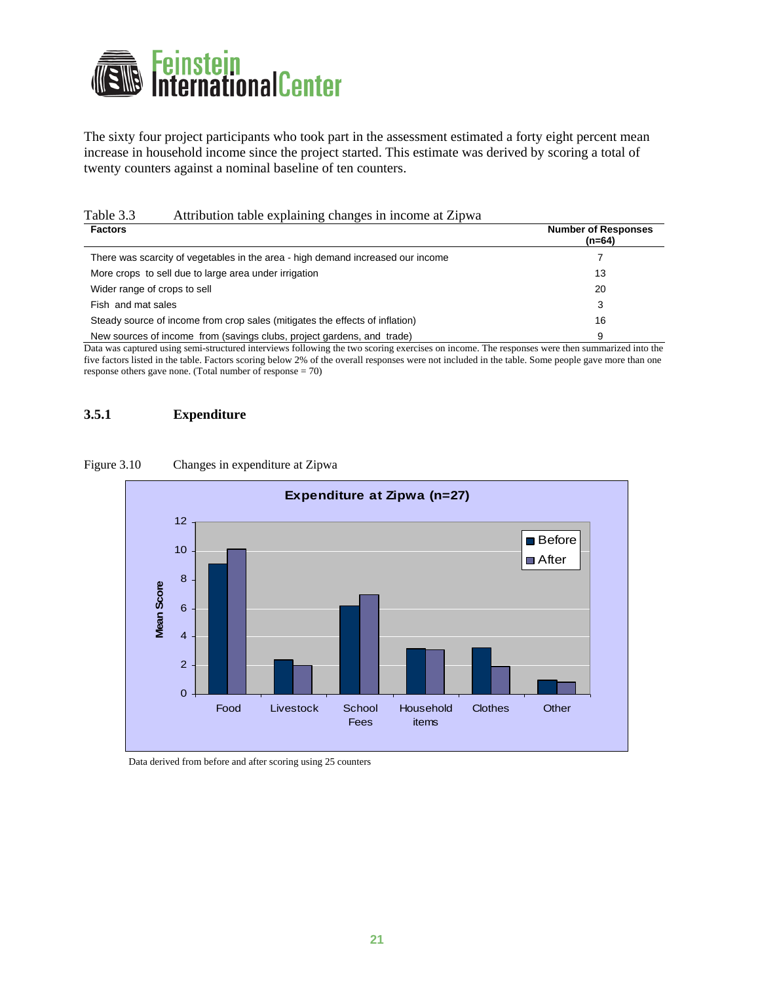<span id="page-21-0"></span>

The sixty four project participants who took part in the assessment estimated a forty eight percent mean increase in household income since the project started. This estimate was derived by scoring a total of twenty counters against a nominal baseline of ten counters.

# Table 3.3 Attribution table explaining changes in income at Zipwa

| <b>Factors</b>                                                                  | <b>Number of Responses</b><br>$(n=64)$ |
|---------------------------------------------------------------------------------|----------------------------------------|
| There was scarcity of vegetables in the area - high demand increased our income |                                        |
| More crops to sell due to large area under irrigation                           | 13                                     |
| Wider range of crops to sell                                                    | 20                                     |
| Fish and mat sales                                                              | 3                                      |
| Steady source of income from crop sales (mitigates the effects of inflation)    | 16                                     |
| New sources of income from (savings clubs, project gardens, and trade)          | 9                                      |

Data was captured using semi-structured interviews following the two scoring exercises on income. The responses were then summarized into the five factors listed in the table. Factors scoring below 2% of the overall responses were not included in the table. Some people gave more than one response others gave none. (Total number of response = 70)

### **3.5.1 Expenditure**

#### Figure 3.10 Changes in expenditure at Zipwa



Data derived from before and after scoring using 25 counters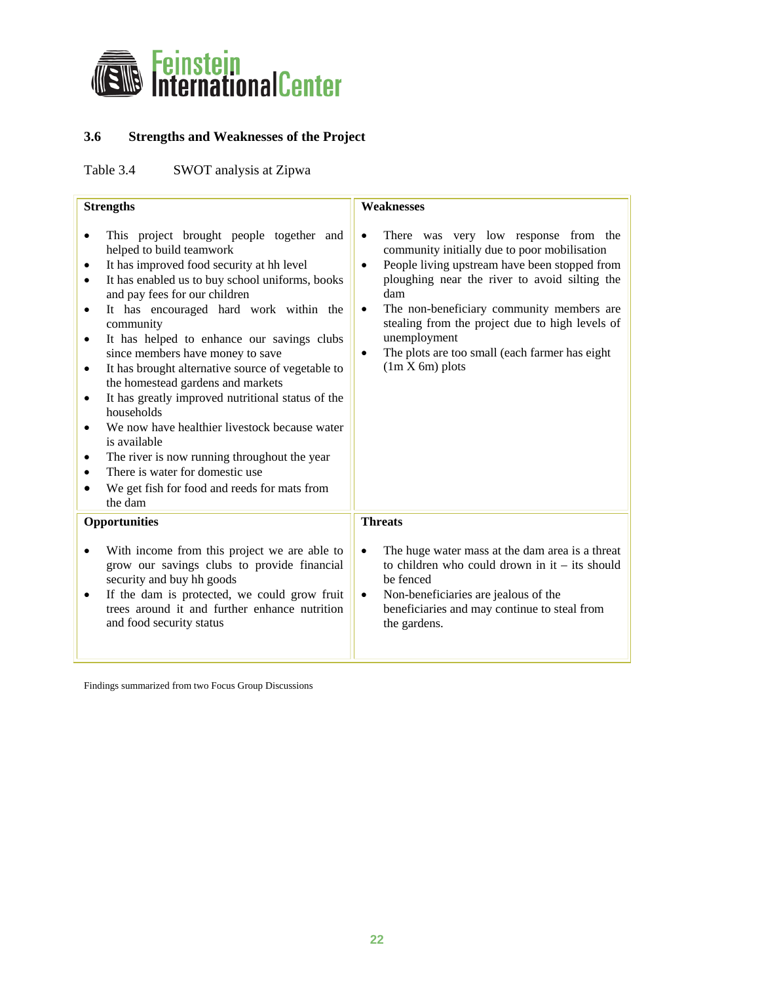<span id="page-22-0"></span>

# **3.6 Strengths and Weaknesses of the Project**

Table 3.4 SWOT analysis at Zipwa

| <b>Strengths</b>                                                                                                                                                                                                                                                                                                                                                                                                                                                                                                                                                                                                                                                                                                                                                                                                                     | <b>Weaknesses</b>                                                                                                                                                                                                                                                                                                                                                                                                                        |
|--------------------------------------------------------------------------------------------------------------------------------------------------------------------------------------------------------------------------------------------------------------------------------------------------------------------------------------------------------------------------------------------------------------------------------------------------------------------------------------------------------------------------------------------------------------------------------------------------------------------------------------------------------------------------------------------------------------------------------------------------------------------------------------------------------------------------------------|------------------------------------------------------------------------------------------------------------------------------------------------------------------------------------------------------------------------------------------------------------------------------------------------------------------------------------------------------------------------------------------------------------------------------------------|
| This project brought people together and<br>$\bullet$<br>helped to build teamwork<br>It has improved food security at hh level<br>$\bullet$<br>It has enabled us to buy school uniforms, books<br>$\bullet$<br>and pay fees for our children<br>It has encouraged hard work within the<br>$\bullet$<br>community<br>It has helped to enhance our savings clubs<br>٠<br>since members have money to save<br>It has brought alternative source of vegetable to<br>$\bullet$<br>the homestead gardens and markets<br>It has greatly improved nutritional status of the<br>$\bullet$<br>households<br>We now have healthier livestock because water<br>$\bullet$<br>is available<br>The river is now running throughout the year<br>٠<br>There is water for domestic use<br>٠<br>We get fish for food and reeds for mats from<br>the dam | There was very low response from the<br>$\bullet$<br>community initially due to poor mobilisation<br>People living upstream have been stopped from<br>$\bullet$<br>ploughing near the river to avoid silting the<br>dam<br>The non-beneficiary community members are<br>$\bullet$<br>stealing from the project due to high levels of<br>unemployment<br>The plots are too small (each farmer has eight<br>$\bullet$<br>$(1m X 6m)$ plots |
| Opportunities                                                                                                                                                                                                                                                                                                                                                                                                                                                                                                                                                                                                                                                                                                                                                                                                                        | <b>Threats</b>                                                                                                                                                                                                                                                                                                                                                                                                                           |
| With income from this project we are able to<br>grow our savings clubs to provide financial<br>security and buy hh goods<br>If the dam is protected, we could grow fruit<br>$\bullet$<br>trees around it and further enhance nutrition<br>and food security status                                                                                                                                                                                                                                                                                                                                                                                                                                                                                                                                                                   | The huge water mass at the dam area is a threat<br>$\bullet$<br>to children who could drown in $it - its$ should<br>be fenced<br>Non-beneficiaries are jealous of the<br>$\bullet$<br>beneficiaries and may continue to steal from<br>the gardens.                                                                                                                                                                                       |

Findings summarized from two Focus Group Discussions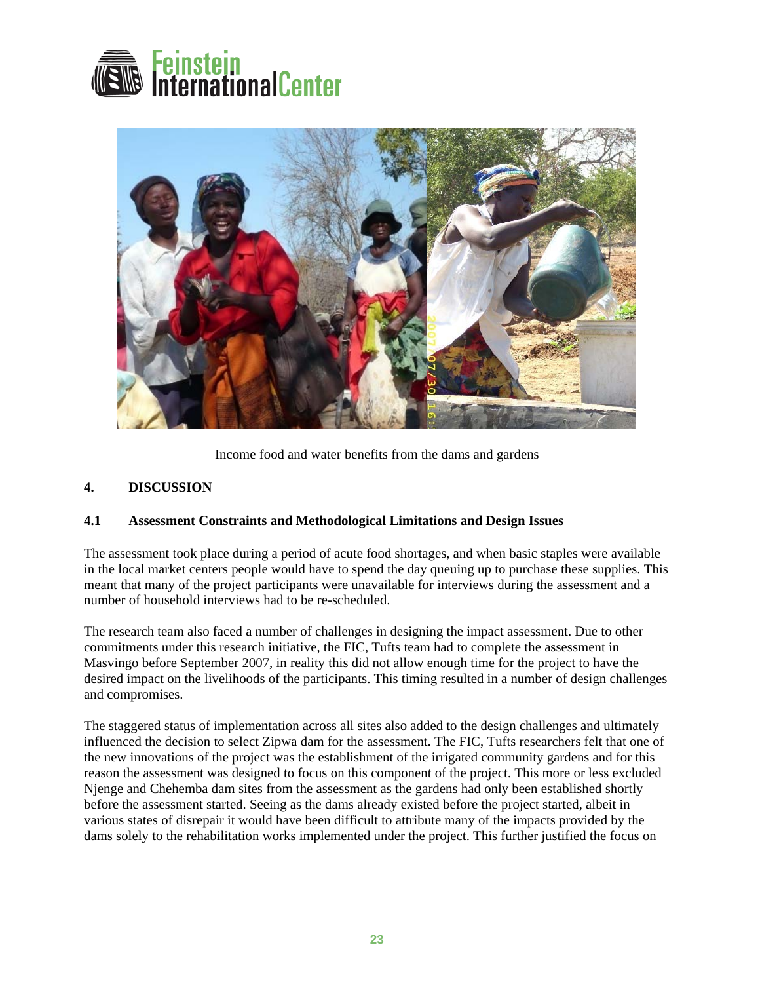<span id="page-23-0"></span>



Income food and water benefits from the dams and gardens

## **4. DISCUSSION**

### **4.1 Assessment Constraints and Methodological Limitations and Design Issues**

The assessment took place during a period of acute food shortages, and when basic staples were available in the local market centers people would have to spend the day queuing up to purchase these supplies. This meant that many of the project participants were unavailable for interviews during the assessment and a number of household interviews had to be re-scheduled.

The research team also faced a number of challenges in designing the impact assessment. Due to other commitments under this research initiative, the FIC, Tufts team had to complete the assessment in Masvingo before September 2007, in reality this did not allow enough time for the project to have the desired impact on the livelihoods of the participants. This timing resulted in a number of design challenges and compromises.

The staggered status of implementation across all sites also added to the design challenges and ultimately influenced the decision to select Zipwa dam for the assessment. The FIC, Tufts researchers felt that one of the new innovations of the project was the establishment of the irrigated community gardens and for this reason the assessment was designed to focus on this component of the project. This more or less excluded Njenge and Chehemba dam sites from the assessment as the gardens had only been established shortly before the assessment started. Seeing as the dams already existed before the project started, albeit in various states of disrepair it would have been difficult to attribute many of the impacts provided by the dams solely to the rehabilitation works implemented under the project. This further justified the focus on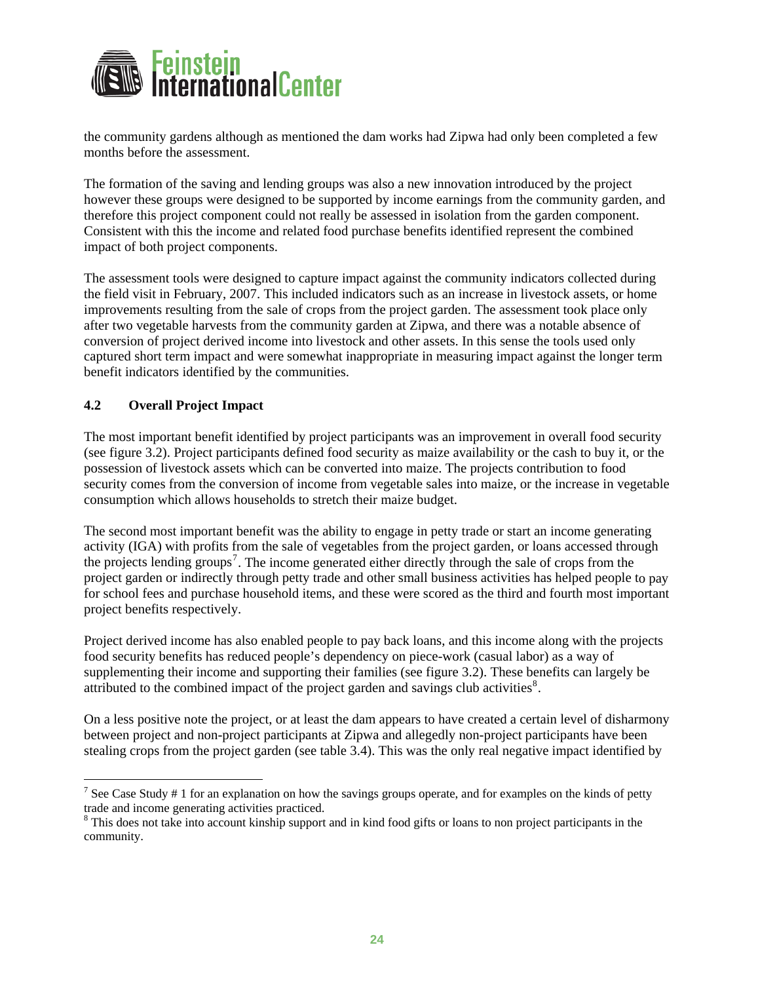<span id="page-24-0"></span>

the community gardens although as mentioned the dam works had Zipwa had only been completed a few months before the assessment.

The formation of the saving and lending groups was also a new innovation introduced by the project however these groups were designed to be supported by income earnings from the community garden, and therefore this project component could not really be assessed in isolation from the garden component. Consistent with this the income and related food purchase benefits identified represent the combined impact of both project components.

The assessment tools were designed to capture impact against the community indicators collected during captured short term impact and were somewhat inappropriate in measuring impact against the longer term the field visit in February, 2007. This included indicators such as an increase in livestock assets, or home improvements resulting from the sale of crops from the project garden. The assessment took place only after two vegetable harvests from the community garden at Zipwa, and there was a notable absence of conversion of project derived income into livestock and other assets. In this sense the tools used only benefit indicators identified by the communities.

### **4.2 Overall Project Impact**

 $\overline{a}$ 

The most important benefit identified by project participants was an improvement in overall food security security comes from the conversion of income from vegetable sales into maize, or the increase in vegetable (see figure 3.2). Project participants defined food security as maize availability or the cash to buy it, or the possession of livestock assets which can be converted into maize. The projects contribution to food consumption which allows households to stretch their maize budget.

The second most important benefit was the ability to engage in petty trade or start an income generating project garden or indirectly through petty trade and other small business activities has helped people to pay activity (IGA) with profits from the sale of vegetables from the project garden, or loans accessed through the projects lending groups<sup>[7](#page-24-1)</sup>. The income generated either directly through the sale of crops from the for school fees and purchase household items, and these were scored as the third and fourth most important project benefits respectively.

Project derived income has also enabled people to pay back loans, and this income along with the projects supplementing their income and supporting their families (see figure 3.2). These benefits can largely be food security benefits has reduced people's dependency on piece-work (casual labor) as a way of attributed to the combined impact of the project garden and savings club activities $8$ .

On a less positive note the project, or at least the dam appears to have created a certain level of disharmony stealing crops from the project garden (see table 3.4). This was the only real negative impact identified by between project and non-project participants at Zipwa and allegedly non-project participants have been

<span id="page-24-1"></span><sup>&</sup>lt;sup>7</sup> See Case Study  $# 1$  for an explanation on how the savings groups operate, and for examples on the kinds of petty trade and income generating activities practiced.

<span id="page-24-2"></span><sup>&</sup>lt;sup>8</sup> This does not take into account kinship support and in kind food gifts or loans to non project participants in the community.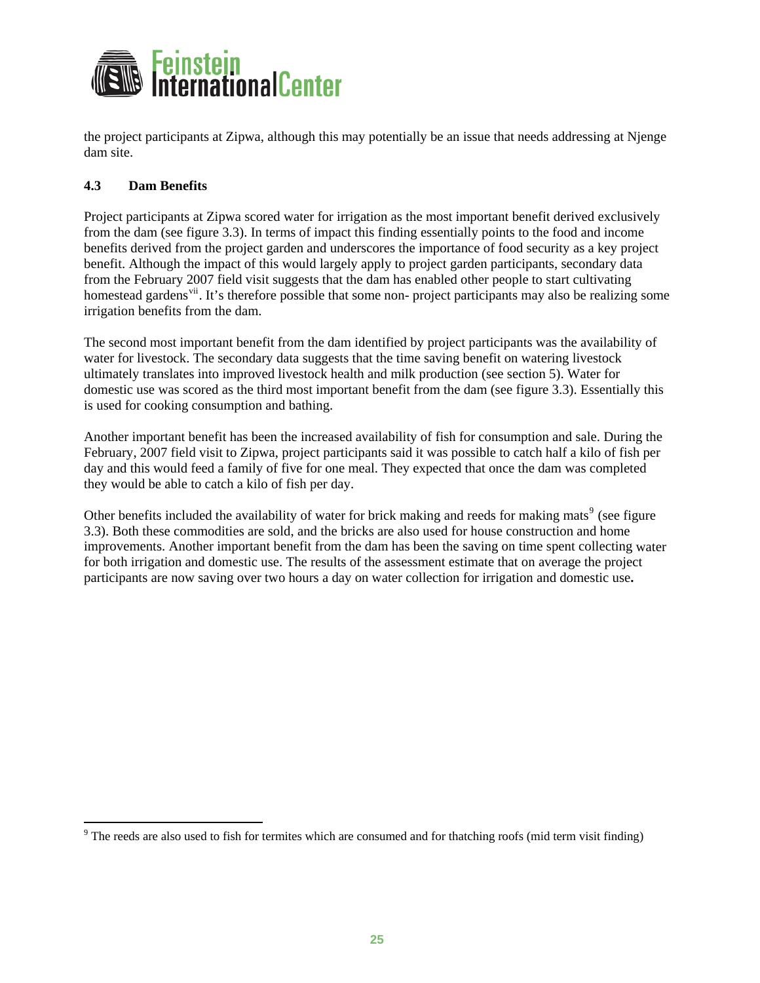<span id="page-25-0"></span>

the project participants at Zipwa, although this may potentially be an issue that needs addressing at Njenge dam site.

### **4.3 Dam Benefits**

 $\overline{a}$ 

Project participants at Zipwa scored water for irrigation as the most important benefit derived exclusively benefits derived from the project garden and underscores the importance of food security as a key project homestead gardens<sup>[vii](#page-31-4)</sup>. It's therefore possible that some non- project participants may also be realizing some from the dam (see figure 3.3). In terms of impact this finding essentially points to the food and income benefit. Although the impact of this would largely apply to project garden participants, secondary data from the February 2007 field visit suggests that the dam has enabled other people to start cultivating irrigation benefits from the dam.

The second most important benefit from the dam identified by project participants was the availability of domestic use was scored as the third most important benefit from the dam (see figure 3.3). Essentially this water for livestock. The secondary data suggests that the time saving benefit on watering livestock ultimately translates into improved livestock health and milk production (see section 5). Water for is used for cooking consumption and bathing.

Another important benefit has been the increased availability of fish for consumption and sale. During the February, 2007 field visit to Zipwa, project participants said it was possible to catch half a kilo of fish per day and this would feed a family of five for one meal. They expected that once the dam was completed they would be able to catch a kilo of fish per day.

Other benefits included the availability of water for brick making and reeds for making mats<sup>9</sup> (see figure improvements. Another important benefit from the dam has been the saving on time spent collecting water 3.3). Both these commodities are sold, and the bricks are also used for house construction and home for both irrigation and domestic use. The results of the assessment estimate that on average the project participants are now saving over two hours a day on water collection for irrigation and domestic use**.**

 $9$  The reeds are also used to fish for termites which are consumed and for thatching roofs (mid term visit finding)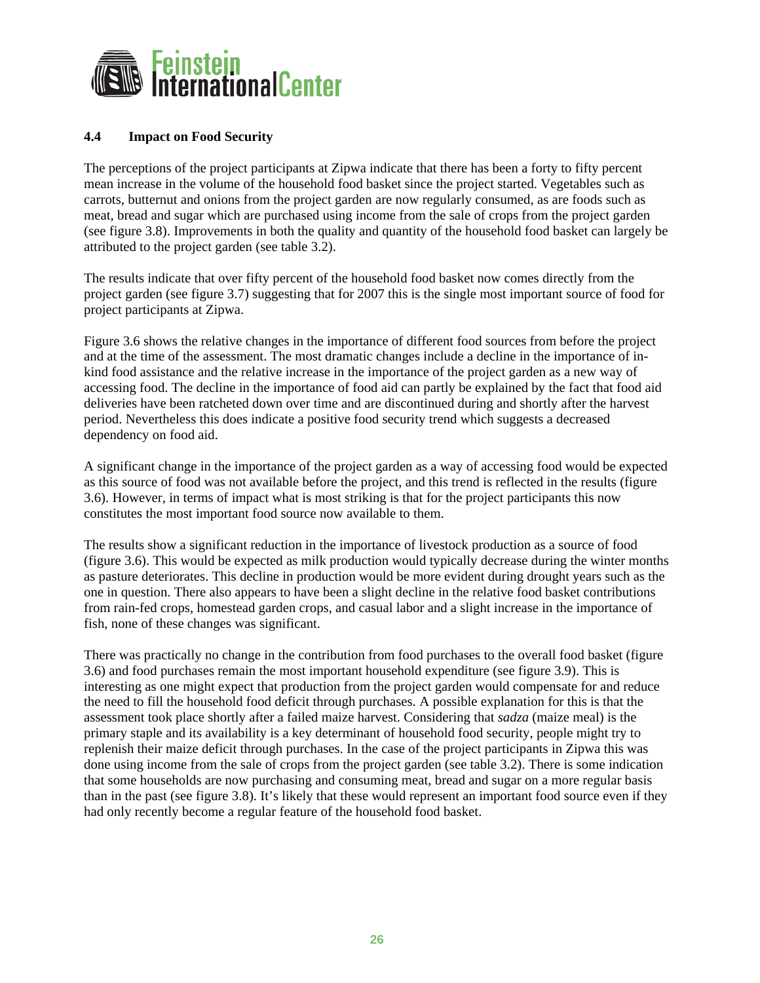<span id="page-26-0"></span>

### **4.4 Impact on Food Security**

The perceptions of the project participants at Zipwa indicate that there has been a forty to fifty percent mean increase in the volume of the household food basket since the project started. Vegetables such as carrots, butternut and onions from the project garden are now regularly consumed, as are foods such as meat, bread and sugar which are purchased using income from the sale of crops from the project garden (see figure 3.8). Improvements in both the quality and quantity of the household food basket can largely be attributed to the project garden (see table 3.2).

The results indicate that over fifty percent of the household food basket now comes directly from the project garden (see figure 3.7) suggesting that for 2007 this is the single most important source of food for project participants at Zipwa.

Figure 3.6 shows the relative changes in the importance of different food sources from before the project and at the time of the assessment. The most dramatic changes include a decline in the importance of inkind food assistance and the relative increase in the importance of the project garden as a new way of accessing food. The decline in the importance of food aid can partly be explained by the fact that food aid deliveries have been ratcheted down over time and are discontinued during and shortly after the harvest period. Nevertheless this does indicate a positive food security trend which suggests a decreased dependency on food aid.

A significant change in the importance of the project garden as a way of accessing food would be expected as this source of food was not available before the project, and this trend is reflected in the results (figure 3.6). However, in terms of impact what is most striking is that for the project participants this now constitutes the most important food source now available to them.

The results show a significant reduction in the importance of livestock production as a source of food (figure 3.6). This would be expected as milk production would typically decrease during the winter months as pasture deteriorates. This decline in production would be more evident during drought years such as the one in question. There also appears to have been a slight decline in the relative food basket contributions from rain-fed crops, homestead garden crops, and casual labor and a slight increase in the importance of fish, none of these changes was significant.

There was practically no change in the contribution from food purchases to the overall food basket (figure 3.6) and food purchases remain the most important household expenditure (see figure 3.9). This is interesting as one might expect that production from the project garden would compensate for and reduce the need to fill the household food deficit through purchases. A possible explanation for this is that the assessment took place shortly after a failed maize harvest. Considering that *sadza* (maize meal) is the primary staple and its availability is a key determinant of household food security, people might try to replenish their maize deficit through purchases. In the case of the project participants in Zipwa this was done using income from the sale of crops from the project garden (see table 3.2). There is some indication that some households are now purchasing and consuming meat, bread and sugar on a more regular basis than in the past (see figure 3.8). It's likely that these would represent an important food source even if they had only recently become a regular feature of the household food basket.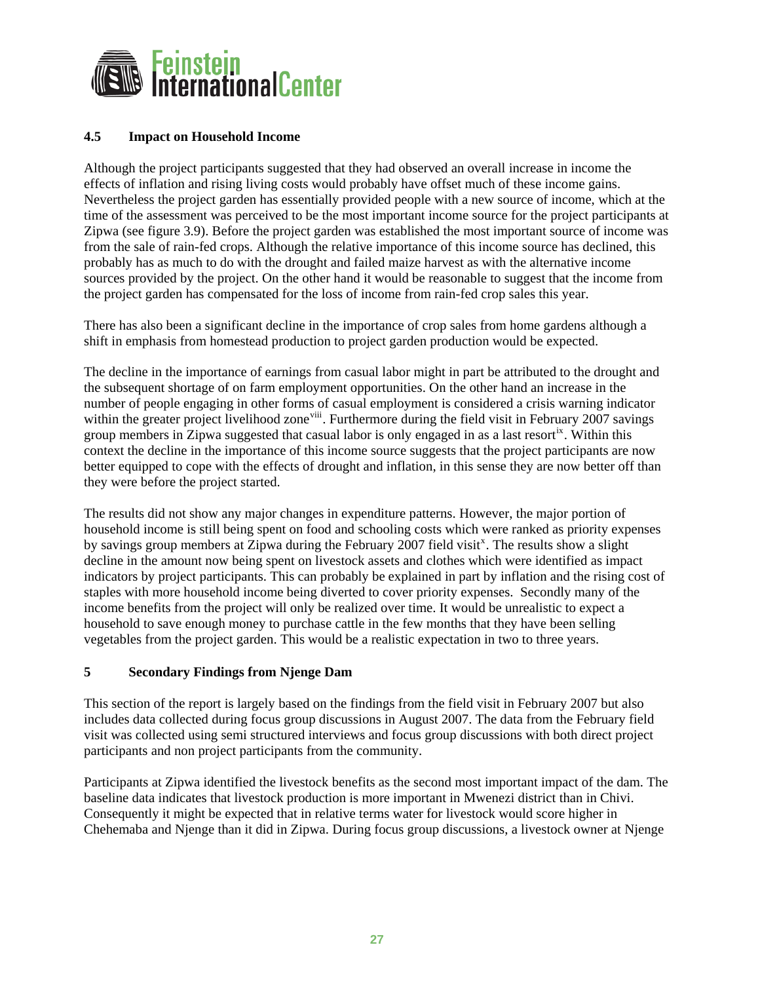<span id="page-27-0"></span>

### **4.5 Impact on Household Income**

Although the project participants suggested that they had observed an overall increase in income the effects of inflation and rising living costs would probably have offset much of these income gains. Nevertheless the project garden has essentially provided people with a new source of income, which at the time of the assessment was perceived to be the most important income source for the project participants at Zipwa (see figure 3.9). Before the project garden was established the most important source of income was from the sale of rain-fed crops. Although the relative importance of this income source has declined, this probably has as much to do with the drought and failed maize harvest as with the alternative income sources provided by the project. On the other hand it would be reasonable to suggest that the income from the project garden has compensated for the loss of income from rain-fed crop sales this year.

There has also been a significant decline in the importance of crop sales from home gardens although a shift in emphasis from homestead production to project garden production would be expected.

The decline in the importance of earnings from casual labor might in part be attributed to the drought and the subsequent shortage of on farm employment opportunities. On the other hand an increase in the number of people engaging in other forms of casual employment is considered a crisis warning indicator within the greater project livelihood zone<sup>[viii](#page-31-4)</sup>. Furthermore during the field visit in February 2007 savings group members in Zipwa suggested that casual labor is only engaged in as a last resort<sup>[ix](#page-31-4)</sup>. Within this context the decline in the importance of this income source suggests that the project participants are now better equipped to cope with the effects of drought and inflation, in this sense they are now better off than they were before the project started.

The results did not show any major changes in expenditure patterns. However, the major portion of household income is still being spent on food and schooling costs which were ranked as priority expenses by savings group members at Zipwa during the February 2007 field visit<sup>[x](#page-31-4)</sup>. The results show a slight decline in the amount now being spent on livestock assets and clothes which were identified as impact indicators by project participants. This can probably be explained in part by inflation and the rising cost of staples with more household income being diverted to cover priority expenses. Secondly many of the income benefits from the project will only be realized over time. It would be unrealistic to expect a household to save enough money to purchase cattle in the few months that they have been selling vegetables from the project garden. This would be a realistic expectation in two to three years.

### **5 Secondary Findings from Njenge Dam**

This section of the report is largely based on the findings from the field visit in February 2007 but also includes data collected during focus group discussions in August 2007. The data from the February field visit was collected using semi structured interviews and focus group discussions with both direct project participants and non project participants from the community.

Participants at Zipwa identified the livestock benefits as the second most important impact of the dam. The baseline data indicates that livestock production is more important in Mwenezi district than in Chivi. Consequently it might be expected that in relative terms water for livestock would score higher in Chehemaba and Njenge than it did in Zipwa. During focus group discussions, a livestock owner at Njenge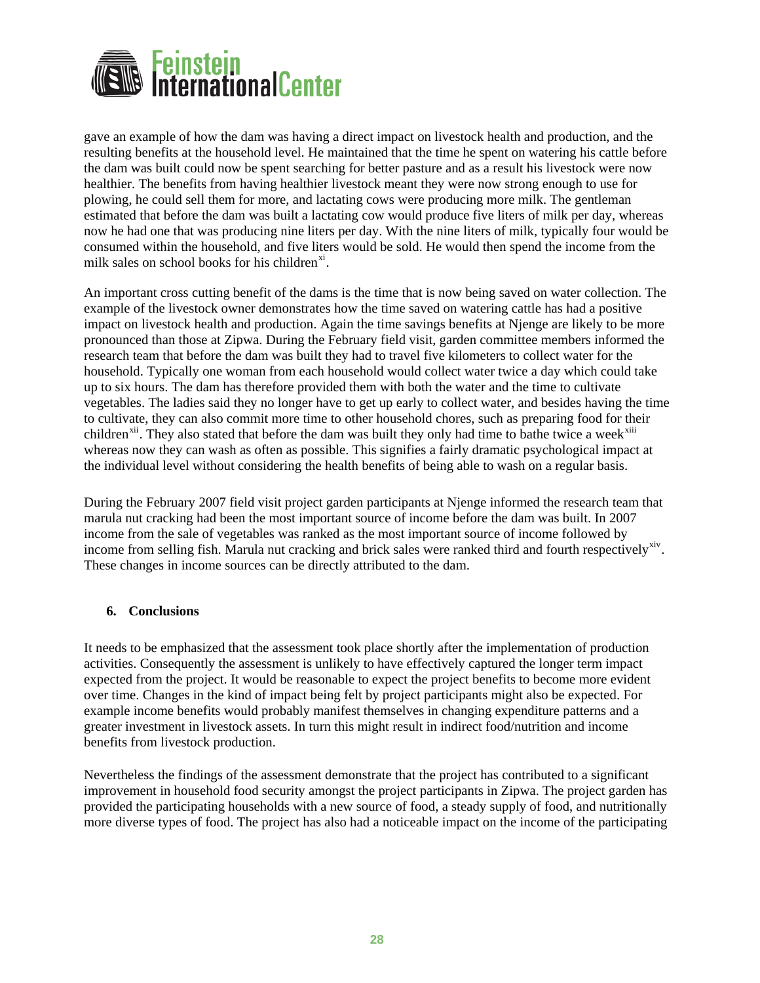<span id="page-28-0"></span>

gave an example of how the dam was having a direct impact on livestock health and production, and the resulting benefits at the household level. He maintained that the time he spent on watering his cattle before the dam was built could now be spent searching for better pasture and as a result his livestock were now healthier. The benefits from having healthier livestock meant they were now strong enough to use for plowing, he could sell them for more, and lactating cows were producing more milk. The gentleman estimated that before the dam was built a lactating cow would produce five liters of milk per day, whereas now he had one that was producing nine liters per day. With the nine liters of milk, typically four would be consumed within the household, and five liters would be sold. He would then spend the income from the milk sales on school books for his children<sup>[xi](#page-31-4)</sup>.

An important cross cutting benefit of the dams is the time that is now being saved on water collection. The example of the livestock owner demonstrates how the time saved on watering cattle has had a positive impact on livestock health and production. Again the time savings benefits at Njenge are likely to be more pronounced than those at Zipwa. During the February field visit, garden committee members informed the research team that before the dam was built they had to travel five kilometers to collect water for the household. Typically one woman from each household would collect water twice a day which could take up to six hours. The dam has therefore provided them with both the water and the time to cultivate vegetables. The ladies said they no longer have to get up early to collect water, and besides having the time to cultivate, they can also commit more time to other household chores, such as preparing food for their children<sup>[xii](#page-31-4)</sup>. They also stated that before the dam was built they only had time to bathe twice a week<sup>[xiii](#page-31-4)</sup> whereas now they can wash as often as possible. This signifies a fairly dramatic psychological impact at the individual level without considering the health benefits of being able to wash on a regular basis.

During the February 2007 field visit project garden participants at Njenge informed the research team that marula nut cracking had been the most important source of income before the dam was built. In 2007 income from the sale of vegetables was ranked as the most important source of income followed by income from selling fish. Marula nut cracking and brick sales were ranked third and fourth respectively<sup>[xiv](#page-32-0)</sup>. These changes in income sources can be directly attributed to the dam.

### **6. Conclusions**

It needs to be emphasized that the assessment took place shortly after the implementation of production activities. Consequently the assessment is unlikely to have effectively captured the longer term impact expected from the project. It would be reasonable to expect the project benefits to become more evident over time. Changes in the kind of impact being felt by project participants might also be expected. For example income benefits would probably manifest themselves in changing expenditure patterns and a greater investment in livestock assets. In turn this might result in indirect food/nutrition and income benefits from livestock production.

Nevertheless the findings of the assessment demonstrate that the project has contributed to a significant improvement in household food security amongst the project participants in Zipwa. The project garden has provided the participating households with a new source of food, a steady supply of food, and nutritionally more diverse types of food. The project has also had a noticeable impact on the income of the participating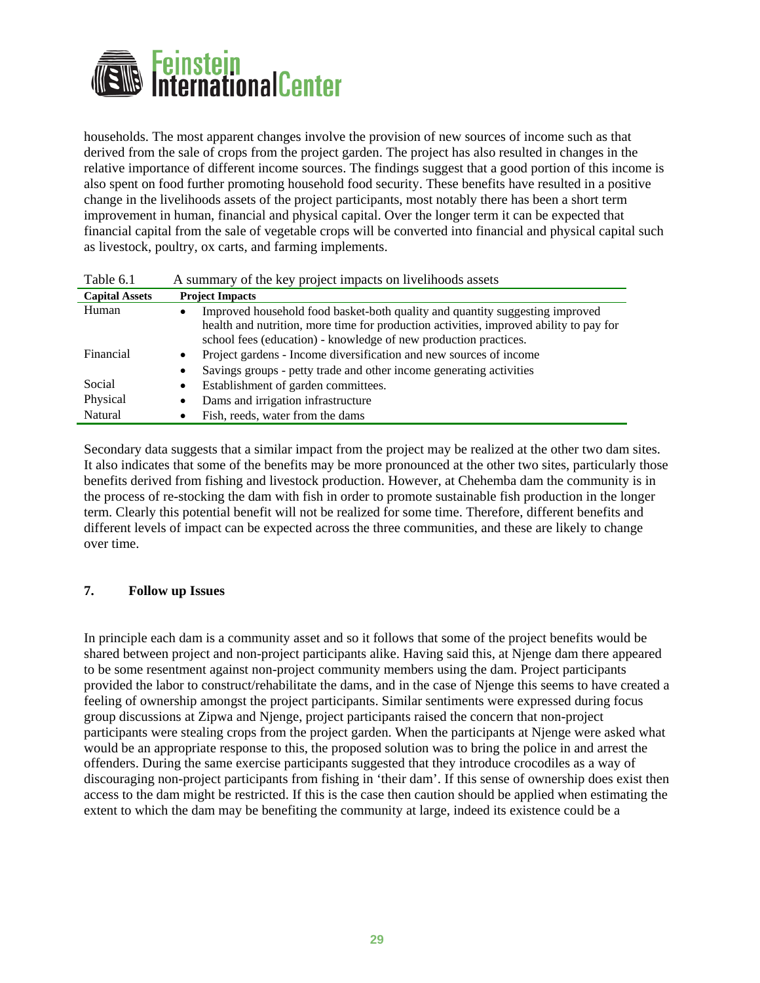<span id="page-29-0"></span>

households. The most apparent changes involve the provision of new sources of income such as that derived from the sale of crops from the project garden. The project has also resulted in changes in the relative importance of different income sources. The findings suggest that a good portion of this income is also spent on food further promoting household food security. These benefits have resulted in a positive change in the livelihoods assets of the project participants, most notably there has been a short term improvement in human, financial and physical capital. Over the longer term it can be expected that financial capital from the sale of vegetable crops will be converted into financial and physical capital such as livestock, poultry, ox carts, and farming implements.

| Table 6.1             | A summary of the key project impacts on livelihoods assets                                                                                                                                                                                 |  |
|-----------------------|--------------------------------------------------------------------------------------------------------------------------------------------------------------------------------------------------------------------------------------------|--|
| <b>Capital Assets</b> | <b>Project Impacts</b>                                                                                                                                                                                                                     |  |
| Human                 | Improved household food basket-both quality and quantity suggesting improved<br>health and nutrition, more time for production activities, improved ability to pay for<br>school fees (education) - knowledge of new production practices. |  |
| Financial             | Project gardens - Income diversification and new sources of income<br>$\bullet$                                                                                                                                                            |  |
|                       | Savings groups - petty trade and other income generating activities<br>$\bullet$                                                                                                                                                           |  |
| Social                | Establishment of garden committees.<br>$\bullet$                                                                                                                                                                                           |  |
| Physical              | Dams and irrigation infrastructure<br>$\bullet$                                                                                                                                                                                            |  |
| Natural               | Fish, reeds, water from the dams                                                                                                                                                                                                           |  |

Secondary data suggests that a similar impact from the project may be realized at the other two dam sites. It also indicates that some of the benefits may be more pronounced at the other two sites, particularly those benefits derived from fishing and livestock production. However, at Chehemba dam the community is in the process of re-stocking the dam with fish in order to promote sustainable fish production in the longer term. Clearly this potential benefit will not be realized for some time. Therefore, different benefits and different levels of impact can be expected across the three communities, and these are likely to change over time.

### **7. Follow up Issues**

In principle each dam is a community asset and so it follows that some of the project benefits would be shared between project and non-project participants alike. Having said this, at Njenge dam there appeared to be some resentment against non-project community members using the dam. Project participants provided the labor to construct/rehabilitate the dams, and in the case of Njenge this seems to have created a feeling of ownership amongst the project participants. Similar sentiments were expressed during focus group discussions at Zipwa and Njenge, project participants raised the concern that non-project participants were stealing crops from the project garden. When the participants at Njenge were asked what would be an appropriate response to this, the proposed solution was to bring the police in and arrest the offenders. During the same exercise participants suggested that they introduce crocodiles as a way of discouraging non-project participants from fishing in 'their dam'. If this sense of ownership does exist then access to the dam might be restricted. If this is the case then caution should be applied when estimating the extent to which the dam may be benefiting the community at large, indeed its existence could be a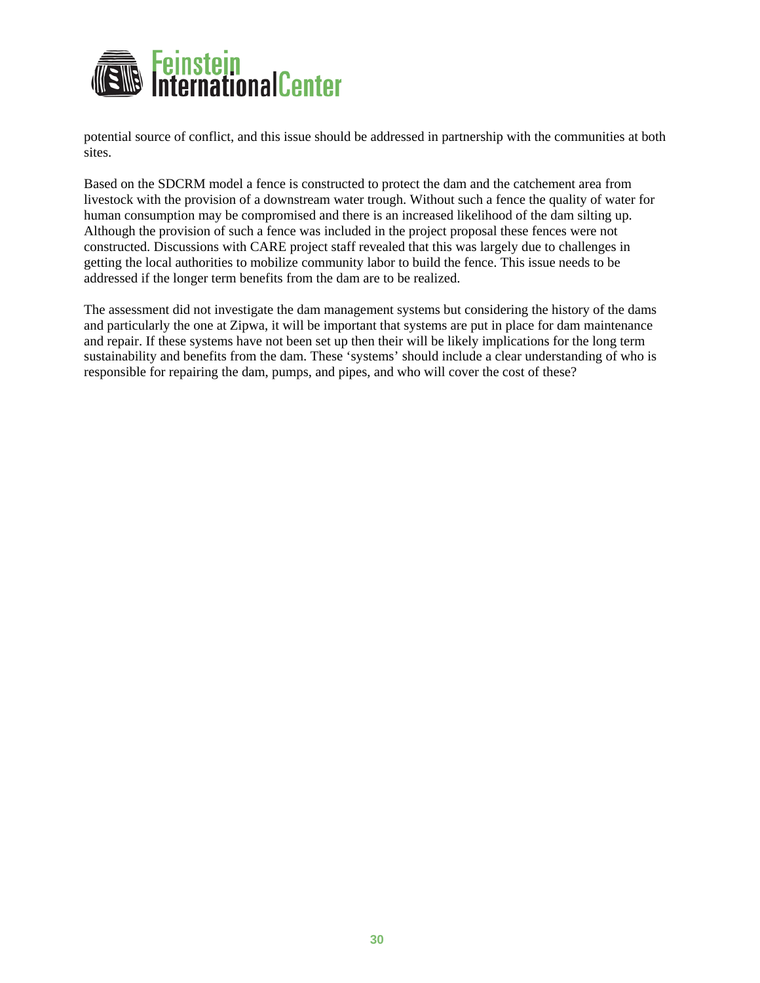

potential source of conflict, and this issue should be addressed in partnership with the communities at both sites.

Based on the SDCRM model a fence is constructed to protect the dam and the catchement area from livestock with the provision of a downstream water trough. Without such a fence the quality of water for human consumption may be compromised and there is an increased likelihood of the dam silting up. Although the provision of such a fence was included in the project proposal these fences were not constructed. Discussions with CARE project staff revealed that this was largely due to challenges in getting the local authorities to mobilize community labor to build the fence. This issue needs to be addressed if the longer term benefits from the dam are to be realized.

The assessment did not investigate the dam management systems but considering the history of the dams and particularly the one at Zipwa, it will be important that systems are put in place for dam maintenance and repair. If these systems have not been set up then their will be likely implications for the long term sustainability and benefits from the dam. These 'systems' should include a clear understanding of who is responsible for repairing the dam, pumps, and pipes, and who will cover the cost of these?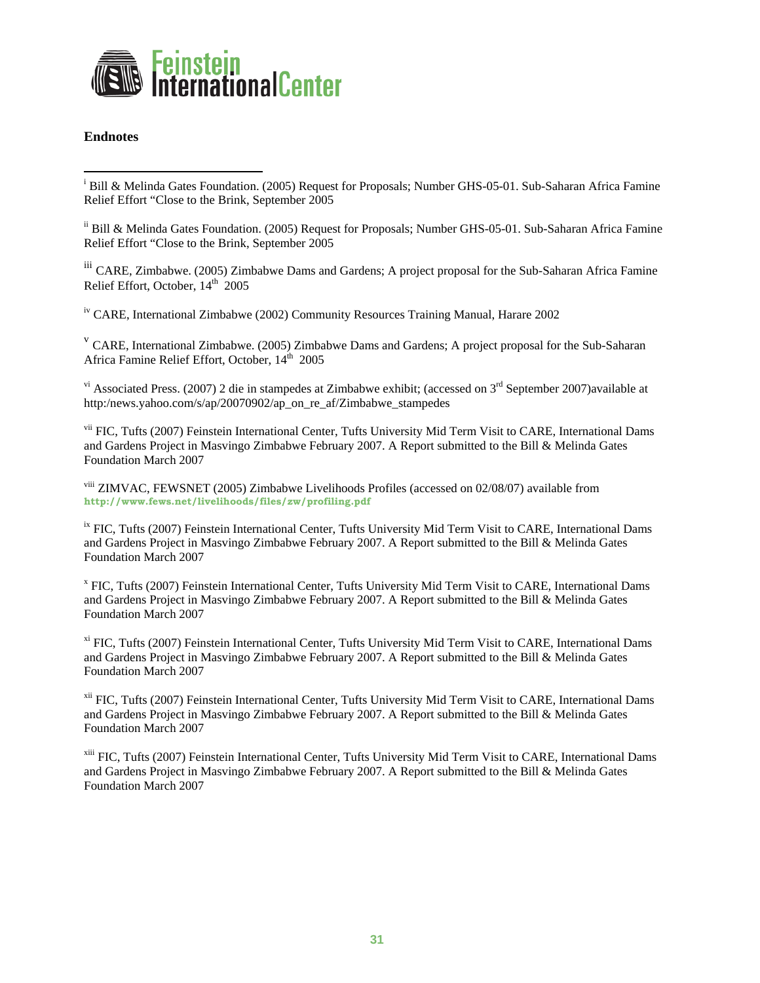<span id="page-31-0"></span>

#### **Endnotes**

 $\overline{a}$ 

ii Bill & Melinda Gates Foundation. (2005) Request for Proposals; Number GHS-05-01. Sub-Saharan Africa Famine Relief Effort "Close to the Brink, September 2005

iii CARE, Zimbabwe. (2005) Zimbabwe Dams and Gardens; A project proposal for the Sub-Saharan Africa Famine Relief Effort, October, 14<sup>th</sup> 2005

<span id="page-31-3"></span>iv CARE, International Zimbabwe (2002) Community Resources Training Manual, Harare 2002

<sup>v</sup> CARE, International Zimbabwe. (2005) Zimbabwe Dams and Gardens; A project proposal for the Sub-Saharan Africa Famine Relief Effort, October, 14<sup>th</sup> 2005

 $v<sup>i</sup>$  Associated Press. (2007) 2 die in stampedes at Zimbabwe exhibit; (accessed on  $3<sup>rd</sup>$  September 2007)available at http:/news.yahoo.com/s/ap/20070902/ap\_on\_re\_af/Zimbabwe\_stampedes

vii FIC, Tufts (2007) Feinstein International Center, Tufts University Mid Term Visit to CARE, International Dams and Gardens Project in Masvingo Zimbabwe February 2007. A Report submitted to the Bill & Melinda Gates Foundation March 2007

<span id="page-31-2"></span>viii ZIMVAC, FEWSNET (2005) Zimbabwe Livelihoods Profiles (accessed on 02/08/07) available from **<http://www.fews.net/livelihoods/files/zw/profiling.pdf>**

<sup>ix</sup> FIC. Tufts (2007) Feinstein International Center, Tufts University Mid Term Visit to CARE, International Dams and Gardens Project in Masvingo Zimbabwe February 2007. A Report submitted to the Bill & Melinda Gates Foundation March 2007

<sup>x</sup> FIC, Tufts (2007) Feinstein International Center, Tufts University Mid Term Visit to CARE, International Dams and Gardens Project in Masvingo Zimbabwe February 2007. A Report submitted to the Bill & Melinda Gates Foundation March 2007

<sup>xi</sup> FIC, Tufts (2007) Feinstein International Center, Tufts University Mid Term Visit to CARE, International Dams and Gardens Project in Masvingo Zimbabwe February 2007. A Report submitted to the Bill & Melinda Gates Foundation March 2007

<sup>xii</sup> FIC, Tufts (2007) Feinstein International Center, Tufts University Mid Term Visit to CARE, International Dams and Gardens Project in Masvingo Zimbabwe February 2007. A Report submitted to the Bill & Melinda Gates Foundation March 2007

<span id="page-31-4"></span>xiii FIC, Tufts (2007) Feinstein International Center, Tufts University Mid Term Visit to CARE, International Dams and Gardens Project in Masvingo Zimbabwe February 2007. A Report submitted to the Bill & Melinda Gates Foundation March 2007

<span id="page-31-1"></span><sup>&</sup>lt;sup>i</sup> Bill & Melinda Gates Foundation. (2005) Request for Proposals; Number GHS-05-01. Sub-Saharan Africa Famine Relief Effort "Close to the Brink, September 2005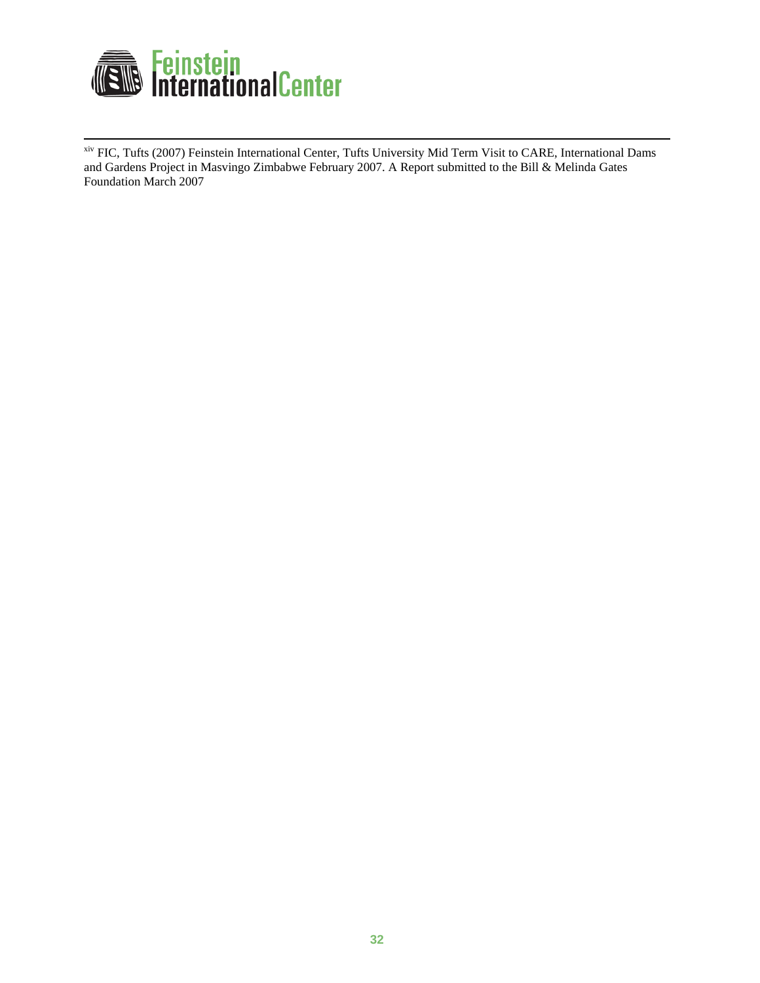

<span id="page-32-0"></span>xiv FIC, Tufts (2007) Feinstein International Center, Tufts University Mid Term Visit to CARE, International Dams and Gardens Project in Masvingo Zimbabwe February 2007. A Report submitted to the Bill & Melinda Gates Foundation March 2007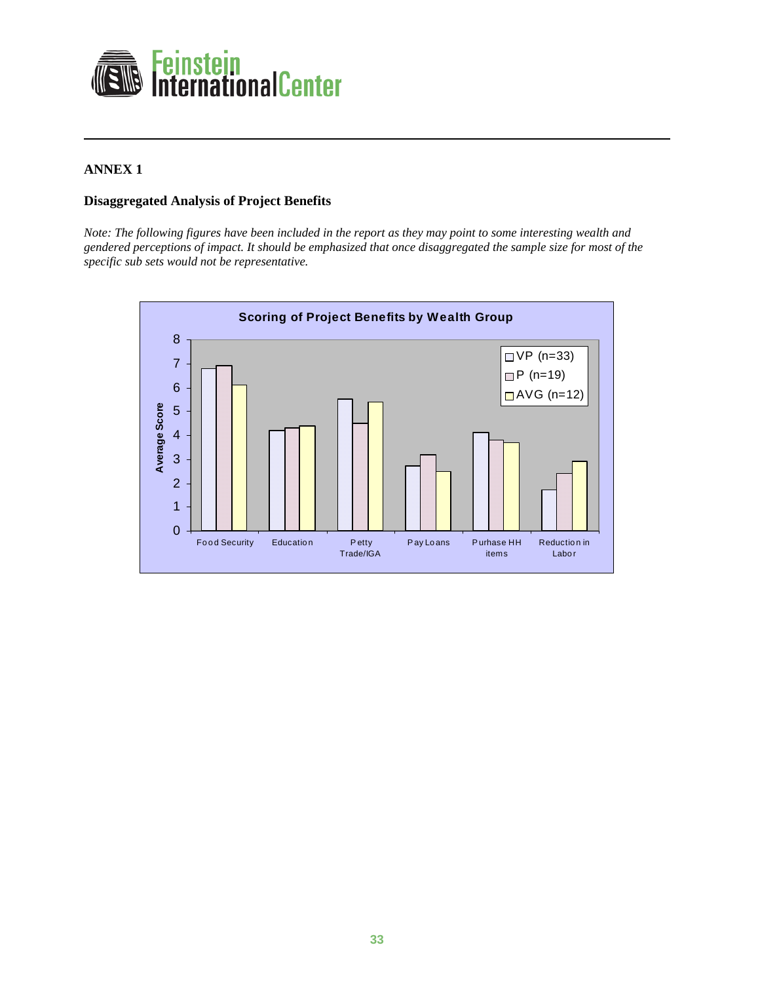

## **ANNEX 1**

 $\overline{a}$ 

### **Disaggregated Analysis of Project Benefits**

*Note: The following figures have been included in the report as they may point to some interesting wealth and gendered perceptions of impact. It should be emphasized that once disaggregated the sample size for most of the specific sub sets would not be representative.* 

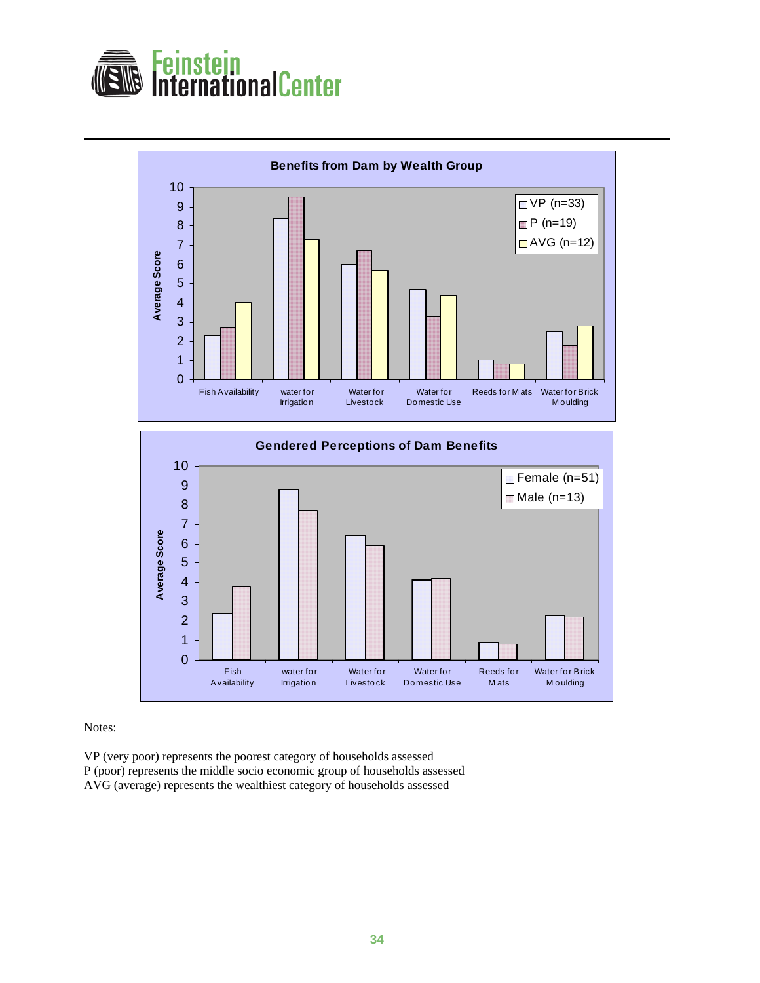





Notes:

 $\overline{a}$ 

VP (very poor) represents the poorest category of households assessed P (poor) represents the middle socio economic group of households assessed AVG (average) represents the wealthiest category of households assessed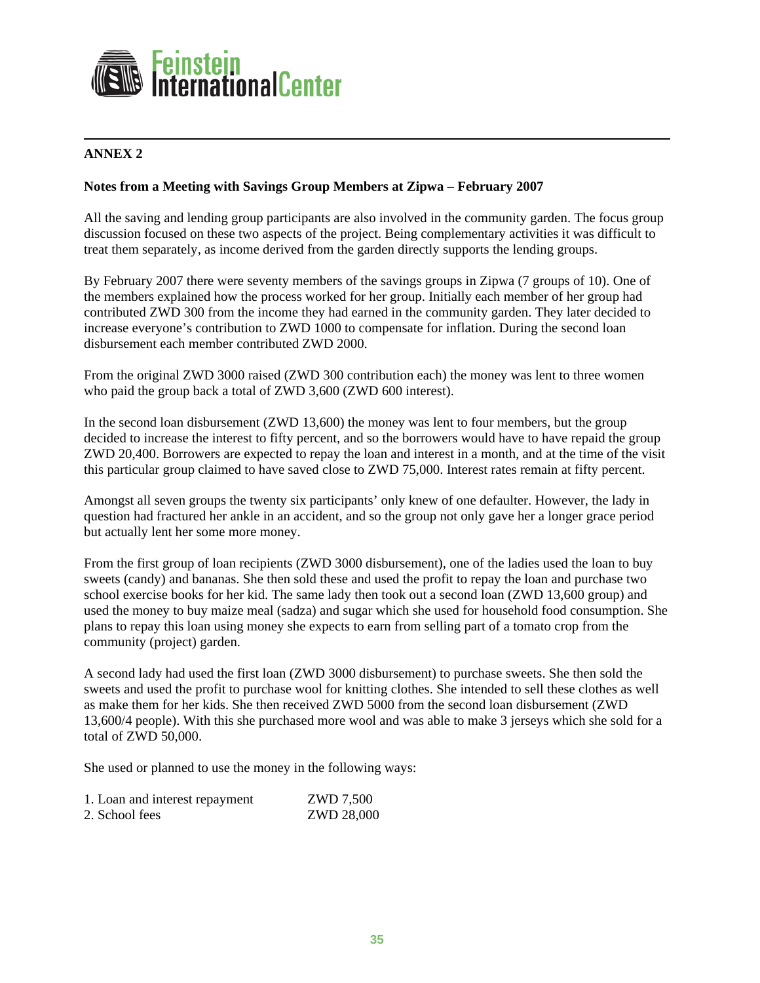

### $\overline{a}$ **ANNEX 2**

### **Notes from a Meeting with Savings Group Members at Zipwa – February 2007**

All the saving and lending group participants are also involved in the community garden. The focus group discussion focused on these two aspects of the project. Being complementary activities it was difficult to treat them separately, as income derived from the garden directly supports the lending groups.

By February 2007 there were seventy members of the savings groups in Zipwa (7 groups of 10). One of the members explained how the process worked for her group. Initially each member of her group had contributed ZWD 300 from the income they had earned in the community garden. They later decided to increase everyone's contribution to ZWD 1000 to compensate for inflation. During the second loan disbursement each member contributed ZWD 2000.

From the original ZWD 3000 raised (ZWD 300 contribution each) the money was lent to three women who paid the group back a total of ZWD 3,600 (ZWD 600 interest).

In the second loan disbursement (ZWD 13,600) the money was lent to four members, but the group decided to increase the interest to fifty percent, and so the borrowers would have to have repaid the group ZWD 20,400. Borrowers are expected to repay the loan and interest in a month, and at the time of the visit this particular group claimed to have saved close to ZWD 75,000. Interest rates remain at fifty percent.

Amongst all seven groups the twenty six participants' only knew of one defaulter. However, the lady in question had fractured her ankle in an accident, and so the group not only gave her a longer grace period but actually lent her some more money.

From the first group of loan recipients (ZWD 3000 disbursement), one of the ladies used the loan to buy sweets (candy) and bananas. She then sold these and used the profit to repay the loan and purchase two school exercise books for her kid. The same lady then took out a second loan (ZWD 13,600 group) and used the money to buy maize meal (sadza) and sugar which she used for household food consumption. She plans to repay this loan using money she expects to earn from selling part of a tomato crop from the community (project) garden.

A second lady had used the first loan (ZWD 3000 disbursement) to purchase sweets. She then sold the sweets and used the profit to purchase wool for knitting clothes. She intended to sell these clothes as well as make them for her kids. She then received ZWD 5000 from the second loan disbursement (ZWD 13,600/4 people). With this she purchased more wool and was able to make 3 jerseys which she sold for a total of ZWD 50,000.

She used or planned to use the money in the following ways:

| 1. Loan and interest repayment | ZWD 7,500  |
|--------------------------------|------------|
| 2. School fees                 | ZWD 28,000 |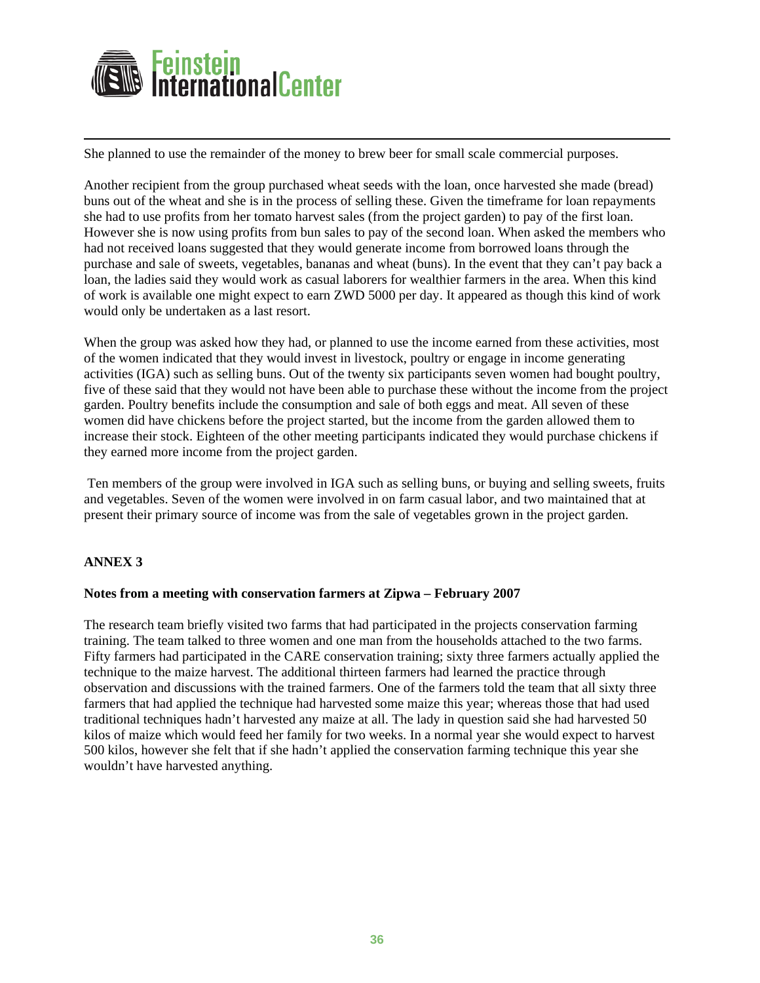

She planned to use the remainder of the money to brew beer for small scale commercial purposes.

Another recipient from the group purchased wheat seeds with the loan, once harvested she made (bread) buns out of the wheat and she is in the process of selling these. Given the timeframe for loan repayments she had to use profits from her tomato harvest sales (from the project garden) to pay of the first loan. However she is now using profits from bun sales to pay of the second loan. When asked the members who had not received loans suggested that they would generate income from borrowed loans through the purchase and sale of sweets, vegetables, bananas and wheat (buns). In the event that they can't pay back a loan, the ladies said they would work as casual laborers for wealthier farmers in the area. When this kind of work is available one might expect to earn ZWD 5000 per day. It appeared as though this kind of work would only be undertaken as a last resort.

When the group was asked how they had, or planned to use the income earned from these activities, most of the women indicated that they would invest in livestock, poultry or engage in income generating activities (IGA) such as selling buns. Out of the twenty six participants seven women had bought poultry, five of these said that they would not have been able to purchase these without the income from the project garden. Poultry benefits include the consumption and sale of both eggs and meat. All seven of these women did have chickens before the project started, but the income from the garden allowed them to increase their stock. Eighteen of the other meeting participants indicated they would purchase chickens if they earned more income from the project garden.

 Ten members of the group were involved in IGA such as selling buns, or buying and selling sweets, fruits and vegetables. Seven of the women were involved in on farm casual labor, and two maintained that at present their primary source of income was from the sale of vegetables grown in the project garden.

### **ANNEX 3**

 $\overline{a}$ 

#### **Notes from a meeting with conservation farmers at Zipwa – February 2007**

The research team briefly visited two farms that had participated in the projects conservation farming training. The team talked to three women and one man from the households attached to the two farms. Fifty farmers had participated in the CARE conservation training; sixty three farmers actually applied the technique to the maize harvest. The additional thirteen farmers had learned the practice through observation and discussions with the trained farmers. One of the farmers told the team that all sixty three farmers that had applied the technique had harvested some maize this year; whereas those that had used traditional techniques hadn't harvested any maize at all. The lady in question said she had harvested 50 kilos of maize which would feed her family for two weeks. In a normal year she would expect to harvest 500 kilos, however she felt that if she hadn't applied the conservation farming technique this year she wouldn't have harvested anything.